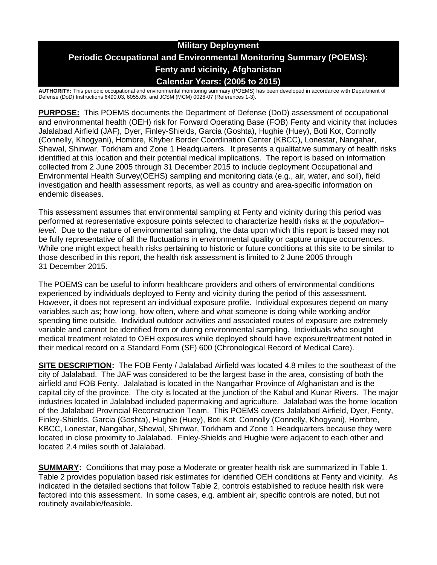# **Military Deployment Periodic Occupational and Environmental Monitoring Summary (POEMS): Fenty and vicinity, Afghanistan Calendar Years: (2005 to 2015)**

**AUTHORITY:** This periodic occupational and environmental monitoring summary (POEMS) has been developed in accordance with Department of Defense (DoD) Instructions 6490.03, 6055.05, and JCSM (MCM) 0028-07 (References 1-3).

**PURPOSE:** This POEMS documents the Department of Defense (DoD) assessment of occupational and environmental health (OEH) risk for Forward Operating Base (FOB) Fenty and vicinity that includes Jalalabad Airfield (JAF), Dyer, Finley-Shields, Garcia (Goshta), Hughie (Huey), Boti Kot, Connolly (Connelly, Khogyani), Hombre, Khyber Border Coordination Center (KBCC), Lonestar, Nangahar, Shewal, Shinwar, Torkham and Zone 1 Headquarters. It presents a qualitative summary of health risks identified at this location and their potential medical implications. The report is based on information collected from 2 June 2005 through 31 December 2015 to include deployment Occupational and Environmental Health Survey(OEHS) sampling and monitoring data (e.g., air, water, and soil), field investigation and health assessment reports, as well as country and area-specific information on endemic diseases.

This assessment assumes that environmental sampling at Fenty and vicinity during this period was performed at representative exposure points selected to characterize health risks at the *population– level*. Due to the nature of environmental sampling, the data upon which this report is based may not be fully representative of all the fluctuations in environmental quality or capture unique occurrences. While one might expect health risks pertaining to historic or future conditions at this site to be similar to those described in this report, the health risk assessment is limited to 2 June 2005 through 31 December 2015.

The POEMS can be useful to inform healthcare providers and others of environmental conditions experienced by individuals deployed to Fenty and vicinity during the period of this assessment. However, it does not represent an individual exposure profile. Individual exposures depend on many variables such as; how long, how often, where and what someone is doing while working and/or spending time outside. Individual outdoor activities and associated routes of exposure are extremely variable and cannot be identified from or during environmental sampling. Individuals who sought medical treatment related to OEH exposures while deployed should have exposure/treatment noted in their medical record on a Standard Form (SF) 600 (Chronological Record of Medical Care).

**SITE DESCRIPTION:** The FOB Fenty / Jalalabad Airfield was located 4.8 miles to the southeast of the city of Jalalabad. The JAF was considered to be the largest base in the area, consisting of both the airfield and FOB Fenty. Jalalabad is located in the Nangarhar Province of Afghanistan and is the capital city of the province. The city is located at the junction of the Kabul and Kunar Rivers. The major industries located in Jalalabad included papermaking and agriculture. Jalalabad was the home location of the Jalalabad Provincial Reconstruction Team. This POEMS covers Jalalabad Airfield, Dyer, Fenty, Finley-Shields, Garcia (Goshta), Hughie (Huey), Boti Kot, Connolly (Connelly, Khogyani), Hombre, KBCC, Lonestar, Nangahar, Shewal, Shinwar, Torkham and Zone 1 Headquarters because they were located in close proximity to Jalalabad. Finley-Shields and Hughie were adjacent to each other and located 2.4 miles south of Jalalabad.

**SUMMARY:** Conditions that may pose a Moderate or greater health risk are summarized in Table 1. Table 2 provides population based risk estimates for identified OEH conditions at Fenty and vicinity. As indicated in the detailed sections that follow Table 2, controls established to reduce health risk were factored into this assessment. In some cases, e.g. ambient air, specific controls are noted, but not routinely available/feasible.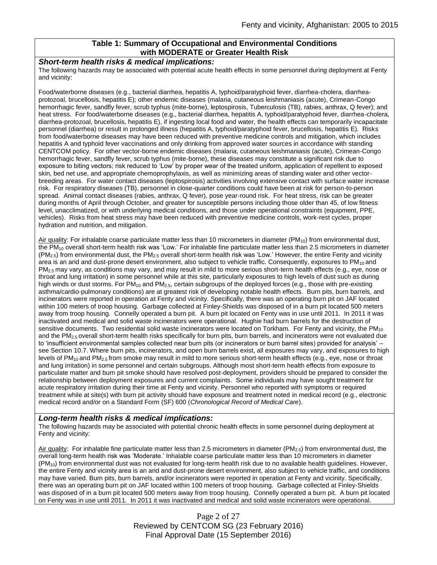#### **Table 1: Summary of Occupational and Environmental Conditions with MODERATE or Greater Health Risk**

#### *Short-term health risks & medical implications:*

The following hazards may be associated with potential acute health effects in some personnel during deployment at Fenty and vicinity:

Food/waterborne diseases (e.g., bacterial diarrhea, hepatitis A, typhoid/paratyphoid fever, diarrhea-cholera, diarrheaprotozoal, brucellosis, hepatitis E); other endemic diseases (malaria, cutaneous leishmaniasis (acute), Crimean-Congo hemorrhagic fever, sandfly fever, scrub typhus (mite-borne), leptospirosis, Tuberculosis (TB), rabies, anthrax, Q fever); and heat stress. For food/waterborne diseases (e.g., bacterial diarrhea, hepatitis A, typhoid/paratyphoid fever, diarrhea-cholera, diarrhea-protozoal, brucellosis, hepatitis E), if ingesting local food and water, the health effects can temporarily incapacitate personnel (diarrhea) or result in prolonged illness (hepatitis A, typhoid/paratyphoid fever, brucellosis, hepatitis E). Risks from food/waterborne diseases may have been reduced with preventive medicine controls and mitigation, which includes hepatitis A and typhoid fever vaccinations and only drinking from approved water sources in accordance with standing CENTCOM policy. For other vector-borne endemic diseases (malaria, cutaneous leishmaniasis (acute), Crimean-Congo hemorrhagic fever, sandfly fever, scrub typhus (mite-borne), these diseases may constitute a significant risk due to exposure to biting vectors; risk reduced to 'Low' by proper wear of the treated uniform, application of repellent to exposed skin, bed net use, and appropriate chemoprophylaxis, as well as minimizing areas of standing water and other vectorbreeding areas. For water contact diseases (leptospirosis) activities involving extensive contact with surface water increase risk. For respiratory diseases (TB), personnel in close-quarter conditions could have been at risk for person-to-person spread. Animal contact diseases (rabies, anthrax, Q fever), pose year-round risk. For heat stress, risk can be greater during months of April through October, and greater for susceptible persons including those older than 45, of low fitness level, unacclimatized, or with underlying medical conditions, and those under operational constraints (equipment, PPE, vehicles). Risks from heat stress may have been reduced with preventive medicine controls, work-rest cycles, proper hydration and nutrition, and mitigation.

Air quality: For inhalable coarse particulate matter less than 10 micrometers in diameter (PM<sub>10</sub>) from environmental dust, the PM<sup>10</sup> overall short-term health risk was 'Low.' For inhalable fine particulate matter less than 2.5 micrometers in diameter  $(PM_{2.5})$  from environmental dust, the PM<sub>2.5</sub> overall short-term health risk was 'Low.' However, the entire Fenty and vicinity area is an arid and dust-prone desert environment, also subject to vehicle traffic. Consequently, exposures to  $PM_{10}$  and PM<sub>2.5</sub> may vary, as conditions may vary, and may result in mild to more serious short-term health effects (e.g., eye, nose or throat and lung irritation) in some personnel while at this site, particularly exposures to high levels of dust such as during high winds or dust storms. For  $PM_{10}$  and  $PM_{2.5}$ , certain subgroups of the deployed forces (e.g., those with pre-existing asthma/cardio-pulmonary conditions) are at greatest risk of developing notable health effects. Burn pits, burn barrels, and incinerators were reported in operation at Fenty and vicinity. Specifically, there was an operating burn pit on JAF located within 100 meters of troop housing. Garbage collected at Finley-Shields was disposed of in a burn pit located 500 meters away from troop housing. Connelly operated a burn pit. A burn pit located on Fenty was in use until 2011. In 2011 it was inactivated and medical and solid waste incinerators were operational. Hughie had burn barrels for the destruction of sensitive documents. Two residential solid waste incinerators were located on Torkham. For Fenty and vicinity, the PM $_{10}$ and the PM<sub>2.5</sub> overall short-term health risks specifically for burn pits, burn barrels, and incinerators were not evaluated due to 'insufficient environmental samples collected near burn pits (or incinerators or burn barrel sites) provided for analysis' – see Section 10.7. Where burn pits, incinerators, and open burn barrels exist, all exposures may vary, and exposures to high levels of PM10 and PM2.5 from smoke may result in mild to more serious short-term health effects (e.g., eye, nose or throat and lung irritation) in some personnel and certain subgroups. Although most short-term health effects from exposure to particulate matter and burn pit smoke should have resolved post-deployment, providers should be prepared to consider the relationship between deployment exposures and current complaints. Some individuals may have sought treatment for acute respiratory irritation during their time at Fenty and vicinity. Personnel who reported with symptoms or required treatment while at site(s) with burn pit activity should have exposure and treatment noted in medical record (e.g., electronic medical record and/or on a Standard Form (SF) 600 (*Chronological Record of Medical Care*).

#### *Long-term health risks & medical implications:*

The following hazards may be associated with potential chronic health effects in some personnel during deployment at Fenty and vicinity:

Air quality: For inhalable fine particulate matter less than 2.5 micrometers in diameter ( $PM_{2.5}$ ) from environmental dust, the overall long-term health risk was 'Moderate.' Inhalable coarse particulate matter less than 10 micrometers in diameter  $(PM_{10})$  from environmental dust was not evaluated for long-term health risk due to no available health guidelines. However, the entire Fenty and vicinity area is an arid and dust-prone desert environment, also subject to vehicle traffic, and conditions may have varied. Burn pits, burn barrels, and/or incinerators were reported in operation at Fenty and vicinity. Specifically, there was an operating burn pit on JAF located within 100 meters of troop housing. Garbage collected at Finley-Shields was disposed of in a burn pit located 500 meters away from troop housing. Connelly operated a burn pit. A burn pit located on Fenty was in use until 2011. In 2011 it was inactivated and medical and solid waste incinerators were operational.

> Page 2 of 27 Reviewed by CENTCOM SG (23 February 2016) Final Approval Date (15 September 2016)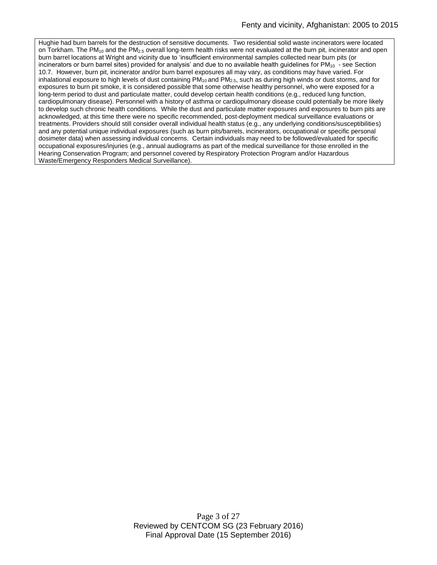Hughie had burn barrels for the destruction of sensitive documents. Two residential solid waste incinerators were located on Torkham. The PM<sub>10</sub> and the PM<sub>2.5</sub> overall long-term health risks were not evaluated at the burn pit, incinerator and open burn barrel locations at Wright and vicinity due to 'insufficient environmental samples collected near burn pits (or incinerators or burn barrel sites) provided for analysis' and due to no available health guidelines for PM<sub>10</sub> - see Section 10.7. However, burn pit, incinerator and/or burn barrel exposures all may vary, as conditions may have varied. For inhalational exposure to high levels of dust containing PM<sub>10</sub> and PM<sub>2.5</sub>, such as during high winds or dust storms, and for exposures to burn pit smoke, it is considered possible that some otherwise healthy personnel, who were exposed for a long-term period to dust and particulate matter, could develop certain health conditions (e.g., reduced lung function, cardiopulmonary disease). Personnel with a history of asthma or cardiopulmonary disease could potentially be more likely to develop such chronic health conditions. While the dust and particulate matter exposures and exposures to burn pits are acknowledged, at this time there were no specific recommended, post-deployment medical surveillance evaluations or treatments. Providers should still consider overall individual health status (e.g., any underlying conditions/susceptibilities) and any potential unique individual exposures (such as burn pits/barrels, incinerators, occupational or specific personal dosimeter data) when assessing individual concerns. Certain individuals may need to be followed/evaluated for specific occupational exposures/injuries (e.g., annual audiograms as part of the medical surveillance for those enrolled in the Hearing Conservation Program; and personnel covered by Respiratory Protection Program and/or Hazardous Waste/Emergency Responders Medical Surveillance).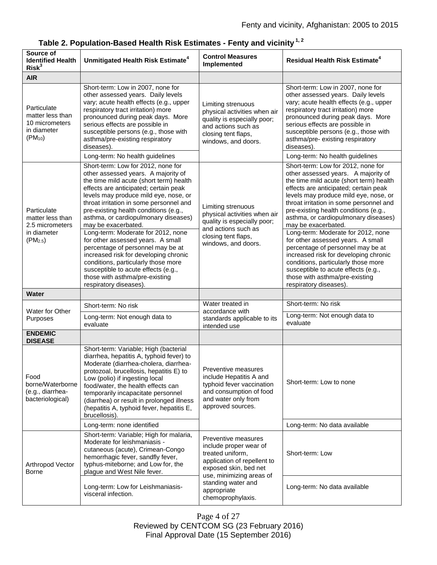| Source of<br><b>Identified Health</b><br>Risk <sup>3</sup>                        | Unmitigated Health Risk Estimate <sup>4</sup>                                                                                                                                                                                                                                                                                                                                                                                                                                                                                                                                                                                                                | <b>Control Measures</b><br>Implemented                                                                                                                                                                          | <b>Residual Health Risk Estimate<sup>4</sup></b>                                                                                                                                                                                                                                                                                                                                                                                                                                                                                                                                                                                                             |
|-----------------------------------------------------------------------------------|--------------------------------------------------------------------------------------------------------------------------------------------------------------------------------------------------------------------------------------------------------------------------------------------------------------------------------------------------------------------------------------------------------------------------------------------------------------------------------------------------------------------------------------------------------------------------------------------------------------------------------------------------------------|-----------------------------------------------------------------------------------------------------------------------------------------------------------------------------------------------------------------|--------------------------------------------------------------------------------------------------------------------------------------------------------------------------------------------------------------------------------------------------------------------------------------------------------------------------------------------------------------------------------------------------------------------------------------------------------------------------------------------------------------------------------------------------------------------------------------------------------------------------------------------------------------|
| <b>AIR</b>                                                                        |                                                                                                                                                                                                                                                                                                                                                                                                                                                                                                                                                                                                                                                              |                                                                                                                                                                                                                 |                                                                                                                                                                                                                                                                                                                                                                                                                                                                                                                                                                                                                                                              |
| Particulate<br>matter less than<br>10 micrometers<br>in diameter<br>$(PM_{10})$   | Short-term: Low in 2007, none for<br>other assessed years. Daily levels<br>vary; acute health effects (e.g., upper<br>respiratory tract irritation) more<br>pronounced during peak days. More<br>serious effects are possible in<br>susceptible persons (e.g., those with<br>asthma/pre-existing respiratory<br>diseases).<br>Long-term: No health guidelines                                                                                                                                                                                                                                                                                                | Limiting strenuous<br>physical activities when air<br>quality is especially poor;<br>and actions such as<br>closing tent flaps,<br>windows, and doors.                                                          | Short-term: Low in 2007, none for<br>other assessed years. Daily levels<br>vary; acute health effects (e.g., upper<br>respiratory tract irritation) more<br>pronounced during peak days. More<br>serious effects are possible in<br>susceptible persons (e.g., those with<br>asthma/pre-existing respiratory<br>diseases).<br>Long-term: No health guidelines                                                                                                                                                                                                                                                                                                |
| Particulate<br>matter less than<br>2.5 micrometers<br>in diameter<br>$(PM_{2.5})$ | Short-term: Low for 2012, none for<br>other assessed years. A majority of<br>the time mild acute (short term) health<br>effects are anticipated; certain peak<br>levels may produce mild eye, nose, or<br>throat irritation in some personnel and<br>pre-existing health conditions (e.g.,<br>asthma, or cardiopulmonary diseases)<br>may be exacerbated.<br>Long-term: Moderate for 2012, none<br>for other assessed years. A small<br>percentage of personnel may be at<br>increased risk for developing chronic<br>conditions, particularly those more<br>susceptible to acute effects (e.g.,<br>those with asthma/pre-existing<br>respiratory diseases). | Limiting strenuous<br>physical activities when air<br>quality is especially poor;<br>and actions such as<br>closing tent flaps,<br>windows, and doors.                                                          | Short-term: Low for 2012, none for<br>other assessed years. A majority of<br>the time mild acute (short term) health<br>effects are anticipated; certain peak<br>levels may produce mild eye, nose, or<br>throat irritation in some personnel and<br>pre-existing health conditions (e.g.,<br>asthma, or cardiopulmonary diseases)<br>may be exacerbated.<br>Long-term: Moderate for 2012, none<br>for other assessed years. A small<br>percentage of personnel may be at<br>increased risk for developing chronic<br>conditions, particularly those more<br>susceptible to acute effects (e.g.,<br>those with asthma/pre-existing<br>respiratory diseases). |
| <b>Water</b>                                                                      |                                                                                                                                                                                                                                                                                                                                                                                                                                                                                                                                                                                                                                                              |                                                                                                                                                                                                                 |                                                                                                                                                                                                                                                                                                                                                                                                                                                                                                                                                                                                                                                              |
|                                                                                   | Short-term: No risk                                                                                                                                                                                                                                                                                                                                                                                                                                                                                                                                                                                                                                          | Water treated in                                                                                                                                                                                                | Short-term: No risk                                                                                                                                                                                                                                                                                                                                                                                                                                                                                                                                                                                                                                          |
| Water for Other<br>Purposes                                                       | Long-term: Not enough data to<br>evaluate                                                                                                                                                                                                                                                                                                                                                                                                                                                                                                                                                                                                                    | accordance with<br>standards applicable to its<br>intended use                                                                                                                                                  | Long-term: Not enough data to<br>evaluate                                                                                                                                                                                                                                                                                                                                                                                                                                                                                                                                                                                                                    |
| <b>ENDEMIC</b><br><b>DISEASE</b>                                                  |                                                                                                                                                                                                                                                                                                                                                                                                                                                                                                                                                                                                                                                              |                                                                                                                                                                                                                 |                                                                                                                                                                                                                                                                                                                                                                                                                                                                                                                                                                                                                                                              |
| Food<br>borne/Waterborne<br>(e.g., diarrhea-<br>bacteriological)                  | Short-term: Variable; High (bacterial<br>diarrhea, hepatitis A, typhoid fever) to<br>Moderate (diarrhea-cholera, diarrhea-<br>protozoal, brucellosis, hepatitis E) to<br>Low (polio) if ingesting local<br>food/water, the health effects can<br>temporarily incapacitate personnel<br>(diarrhea) or result in prolonged illness<br>(hepatitis A, typhoid fever, hepatitis E,<br>brucellosis).                                                                                                                                                                                                                                                               | Preventive measures<br>include Hepatitis A and<br>typhoid fever vaccination<br>and consumption of food<br>and water only from<br>approved sources.                                                              | Short-term: Low to none                                                                                                                                                                                                                                                                                                                                                                                                                                                                                                                                                                                                                                      |
|                                                                                   | Long-term: none identified                                                                                                                                                                                                                                                                                                                                                                                                                                                                                                                                                                                                                                   |                                                                                                                                                                                                                 | Long-term: No data available                                                                                                                                                                                                                                                                                                                                                                                                                                                                                                                                                                                                                                 |
| Arthropod Vector<br><b>Borne</b>                                                  | Short-term: Variable; High for malaria,<br>Moderate for leishmaniasis -<br>cutaneous (acute), Crimean-Congo<br>hemorrhagic fever, sandfly fever,<br>typhus-miteborne; and Low for, the<br>plague and West Nile fever.                                                                                                                                                                                                                                                                                                                                                                                                                                        | Preventive measures<br>include proper wear of<br>treated uniform,<br>application of repellent to<br>exposed skin, bed net<br>use, minimizing areas of<br>standing water and<br>appropriate<br>chemoprophylaxis. | Short-term: Low                                                                                                                                                                                                                                                                                                                                                                                                                                                                                                                                                                                                                                              |
|                                                                                   | Long-term: Low for Leishmaniasis-<br>visceral infection.                                                                                                                                                                                                                                                                                                                                                                                                                                                                                                                                                                                                     |                                                                                                                                                                                                                 | Long-term: No data available                                                                                                                                                                                                                                                                                                                                                                                                                                                                                                                                                                                                                                 |

# **Table 2. Population-Based Health Risk Estimates - Fenty and vicinity 1, 2**

Page 4 of 27 Reviewed by CENTCOM SG (23 February 2016) Final Approval Date (15 September 2016)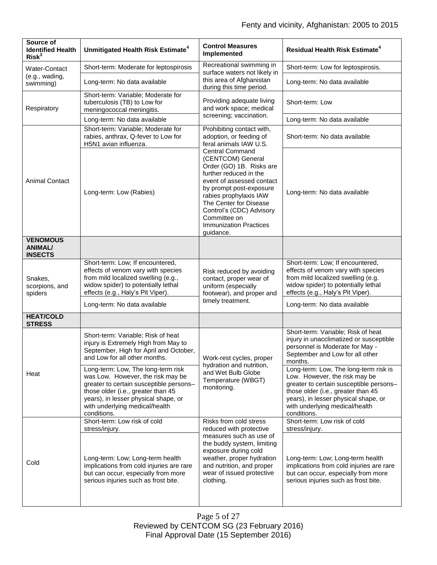| Source of<br><b>Identified Health</b><br>Risk <sup>3</sup> | Unmitigated Health Risk Estimate <sup>4</sup>                                                                                                                                                                                                     | <b>Control Measures</b><br>Implemented                                                                                                                                                                                                                                                                                                                                                    | <b>Residual Health Risk Estimate<sup>4</sup></b>                                                                                                                                                                                                 |
|------------------------------------------------------------|---------------------------------------------------------------------------------------------------------------------------------------------------------------------------------------------------------------------------------------------------|-------------------------------------------------------------------------------------------------------------------------------------------------------------------------------------------------------------------------------------------------------------------------------------------------------------------------------------------------------------------------------------------|--------------------------------------------------------------------------------------------------------------------------------------------------------------------------------------------------------------------------------------------------|
| Water-Contact<br>(e.g., wading,<br>swimming)               | Short-term: Moderate for leptospirosis                                                                                                                                                                                                            | Recreational swimming in<br>surface waters not likely in<br>this area of Afghanistan<br>during this time period.                                                                                                                                                                                                                                                                          | Short-term: Low for leptospirosis.                                                                                                                                                                                                               |
|                                                            | Long-term: No data available                                                                                                                                                                                                                      |                                                                                                                                                                                                                                                                                                                                                                                           | Long-term: No data available                                                                                                                                                                                                                     |
| Respiratory                                                | Short-term: Variable; Moderate for<br>tuberculosis (TB) to Low for<br>meningococcal meningitis.                                                                                                                                                   | Providing adequate living<br>and work space; medical<br>screening; vaccination.                                                                                                                                                                                                                                                                                                           | Short-term: Low                                                                                                                                                                                                                                  |
|                                                            | Long-term: No data available                                                                                                                                                                                                                      |                                                                                                                                                                                                                                                                                                                                                                                           | Long-term: No data available                                                                                                                                                                                                                     |
| <b>Animal Contact</b>                                      | Short-term: Variable; Moderate for<br>rabies, anthrax, Q-fever to Low for<br>H5N1 avian influenza.                                                                                                                                                | Prohibiting contact with,<br>adoption, or feeding of<br>feral animals IAW U.S.<br><b>Central Command</b><br>(CENTCOM) General<br>Order (GO) 1B. Risks are<br>further reduced in the<br>event of assessed contact<br>by prompt post-exposure<br>rabies prophylaxis IAW<br>The Center for Disease<br>Control's (CDC) Advisory<br>Committee on<br><b>Immunization Practices</b><br>guidance. | Short-term: No data available                                                                                                                                                                                                                    |
|                                                            | Long-term: Low (Rabies)                                                                                                                                                                                                                           |                                                                                                                                                                                                                                                                                                                                                                                           | Long-term: No data available                                                                                                                                                                                                                     |
| <b>VENOMOUS</b><br><b>ANIMAL/</b><br><b>INSECTS</b>        |                                                                                                                                                                                                                                                   |                                                                                                                                                                                                                                                                                                                                                                                           |                                                                                                                                                                                                                                                  |
| Snakes,<br>scorpions, and<br>spiders                       | Short-term: Low; If encountered,<br>effects of venom vary with species<br>from mild localized swelling (e.g.,<br>widow spider) to potentially lethal<br>effects (e.g., Haly's Pit Viper).                                                         | Risk reduced by avoiding<br>contact, proper wear of<br>uniform (especially<br>footwear), and proper and<br>timely treatment.                                                                                                                                                                                                                                                              | Short-term: Low; If encountered,<br>effects of venom vary with species<br>from mild localized swelling (e.g.<br>widow spider) to potentially lethal<br>effects (e.g., Haly's Pit Viper).                                                         |
|                                                            | Long-term: No data available                                                                                                                                                                                                                      |                                                                                                                                                                                                                                                                                                                                                                                           | Long-term: No data available                                                                                                                                                                                                                     |
| <b>HEAT/COLD</b><br><b>STRESS</b>                          |                                                                                                                                                                                                                                                   |                                                                                                                                                                                                                                                                                                                                                                                           |                                                                                                                                                                                                                                                  |
| Heat                                                       | Short-term: Variable; Risk of heat<br>injury is Extremely High from May to<br>September, High for April and October,<br>and Low for all other months.                                                                                             | Work-rest cycles, proper<br>hydration and nutrition,<br>and Wet Bulb Globe<br>Temperature (WBGT)<br>monitoring.                                                                                                                                                                                                                                                                           | Short-term: Variable; Risk of heat<br>injury in unacclimatized or susceptible<br>personnel is Moderate for May -<br>September and Low for all other<br>months.                                                                                   |
|                                                            | Long-term: Low, The long-term risk<br>was Low. However, the risk may be<br>greater to certain susceptible persons-<br>those older (i.e., greater than 45<br>years), in lesser physical shape, or<br>with underlying medical/health<br>conditions. |                                                                                                                                                                                                                                                                                                                                                                                           | Long-term: Low, The long-term risk is<br>Low. However, the risk may be<br>greater to certain susceptible persons-<br>those older (i.e., greater than 45<br>years), in lesser physical shape, or<br>with underlying medical/health<br>conditions. |
|                                                            | Short-term: Low risk of cold<br>stress/injury.                                                                                                                                                                                                    | Risks from cold stress<br>reduced with protective                                                                                                                                                                                                                                                                                                                                         | Short-term: Low risk of cold<br>stress/injury.                                                                                                                                                                                                   |
| Cold                                                       | Long-term: Low; Long-term health<br>implications from cold injuries are rare<br>but can occur, especially from more<br>serious injuries such as frost bite.                                                                                       | measures such as use of<br>the buddy system, limiting<br>exposure during cold<br>weather, proper hydration<br>and nutrition, and proper<br>wear of issued protective<br>clothing.                                                                                                                                                                                                         | Long-term: Low; Long-term health<br>implications from cold injuries are rare<br>but can occur, especially from more<br>serious injuries such as frost bite.                                                                                      |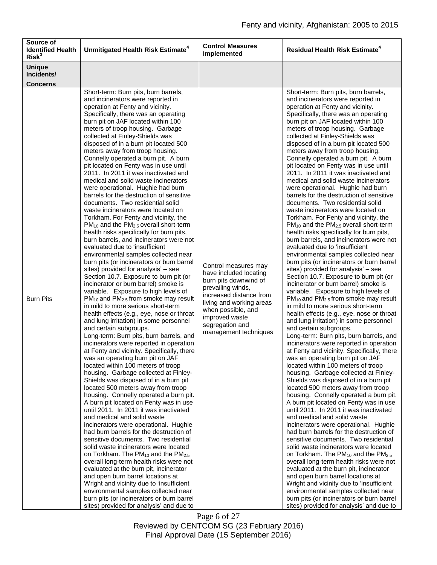| Source of<br><b>Identified Health</b><br>Risk <sup>3</sup> | Unmitigated Health Risk Estimate <sup>4</sup>                                                                                                                                                                                                                                                                                                                                                                                                                                                                                                                                                                                                                                                                                                                                                                                                                                                                                                                                                                                                                                                                                                                                                                                                                                                                                                                                                                                                                                                                                                                                                                                                                                                                                                                                                                                                                                                                                                                                                                                                                                                                                                                                                                                                                                                                                                                                                              | <b>Control Measures</b><br>Implemented                                                                                                                                                                                                  | <b>Residual Health Risk Estimate<sup>4</sup></b>                                                                                                                                                                                                                                                                                                                                                                                                                                                                                                                                                                                                                                                                                                                                                                                                                                                                                                                                                                                                                                                                                                                                                                                                                                                                                                                                                                                                                                                                                                                                                                                                                                                                                                                                                                                                                                                                                                                                                                                                                                                                                                                                                                                                                                                                                                                                                           |
|------------------------------------------------------------|------------------------------------------------------------------------------------------------------------------------------------------------------------------------------------------------------------------------------------------------------------------------------------------------------------------------------------------------------------------------------------------------------------------------------------------------------------------------------------------------------------------------------------------------------------------------------------------------------------------------------------------------------------------------------------------------------------------------------------------------------------------------------------------------------------------------------------------------------------------------------------------------------------------------------------------------------------------------------------------------------------------------------------------------------------------------------------------------------------------------------------------------------------------------------------------------------------------------------------------------------------------------------------------------------------------------------------------------------------------------------------------------------------------------------------------------------------------------------------------------------------------------------------------------------------------------------------------------------------------------------------------------------------------------------------------------------------------------------------------------------------------------------------------------------------------------------------------------------------------------------------------------------------------------------------------------------------------------------------------------------------------------------------------------------------------------------------------------------------------------------------------------------------------------------------------------------------------------------------------------------------------------------------------------------------------------------------------------------------------------------------------------------------|-----------------------------------------------------------------------------------------------------------------------------------------------------------------------------------------------------------------------------------------|------------------------------------------------------------------------------------------------------------------------------------------------------------------------------------------------------------------------------------------------------------------------------------------------------------------------------------------------------------------------------------------------------------------------------------------------------------------------------------------------------------------------------------------------------------------------------------------------------------------------------------------------------------------------------------------------------------------------------------------------------------------------------------------------------------------------------------------------------------------------------------------------------------------------------------------------------------------------------------------------------------------------------------------------------------------------------------------------------------------------------------------------------------------------------------------------------------------------------------------------------------------------------------------------------------------------------------------------------------------------------------------------------------------------------------------------------------------------------------------------------------------------------------------------------------------------------------------------------------------------------------------------------------------------------------------------------------------------------------------------------------------------------------------------------------------------------------------------------------------------------------------------------------------------------------------------------------------------------------------------------------------------------------------------------------------------------------------------------------------------------------------------------------------------------------------------------------------------------------------------------------------------------------------------------------------------------------------------------------------------------------------------------------|
| <b>Unique</b><br>Incidents/                                |                                                                                                                                                                                                                                                                                                                                                                                                                                                                                                                                                                                                                                                                                                                                                                                                                                                                                                                                                                                                                                                                                                                                                                                                                                                                                                                                                                                                                                                                                                                                                                                                                                                                                                                                                                                                                                                                                                                                                                                                                                                                                                                                                                                                                                                                                                                                                                                                            |                                                                                                                                                                                                                                         |                                                                                                                                                                                                                                                                                                                                                                                                                                                                                                                                                                                                                                                                                                                                                                                                                                                                                                                                                                                                                                                                                                                                                                                                                                                                                                                                                                                                                                                                                                                                                                                                                                                                                                                                                                                                                                                                                                                                                                                                                                                                                                                                                                                                                                                                                                                                                                                                            |
| <b>Concerns</b>                                            |                                                                                                                                                                                                                                                                                                                                                                                                                                                                                                                                                                                                                                                                                                                                                                                                                                                                                                                                                                                                                                                                                                                                                                                                                                                                                                                                                                                                                                                                                                                                                                                                                                                                                                                                                                                                                                                                                                                                                                                                                                                                                                                                                                                                                                                                                                                                                                                                            |                                                                                                                                                                                                                                         |                                                                                                                                                                                                                                                                                                                                                                                                                                                                                                                                                                                                                                                                                                                                                                                                                                                                                                                                                                                                                                                                                                                                                                                                                                                                                                                                                                                                                                                                                                                                                                                                                                                                                                                                                                                                                                                                                                                                                                                                                                                                                                                                                                                                                                                                                                                                                                                                            |
| <b>Burn Pits</b>                                           | Short-term: Burn pits, burn barrels,<br>and incinerators were reported in<br>operation at Fenty and vicinity.<br>Specifically, there was an operating<br>burn pit on JAF located within 100<br>meters of troop housing. Garbage<br>collected at Finley-Shields was<br>disposed of in a burn pit located 500<br>meters away from troop housing.<br>Connelly operated a burn pit. A burn<br>pit located on Fenty was in use until<br>2011. In 2011 it was inactivated and<br>medical and solid waste incinerators<br>were operational. Hughie had burn<br>barrels for the destruction of sensitive<br>documents. Two residential solid<br>waste incinerators were located on<br>Torkham. For Fenty and vicinity, the<br>$PM_{10}$ and the $PM_{2.5}$ overall short-term<br>health risks specifically for burn pits,<br>burn barrels, and incinerators were not<br>evaluated due to 'insufficient<br>environmental samples collected near<br>burn pits (or incinerators or burn barrel<br>sites) provided for analysis' - see<br>Section 10.7. Exposure to burn pit (or<br>incinerator or burn barrel) smoke is<br>variable. Exposure to high levels of<br>$PM_{10}$ and $PM_{2.5}$ from smoke may result<br>in mild to more serious short-term<br>health effects (e.g., eye, nose or throat<br>and lung irritation) in some personnel<br>and certain subgroups.<br>Long-term: Burn pits, burn barrels, and<br>incinerators were reported in operation<br>at Fenty and vicinity. Specifically, there<br>was an operating burn pit on JAF<br>located within 100 meters of troop<br>housing. Garbage collected at Finley-<br>Shields was disposed of in a burn pit<br>located 500 meters away from troop<br>housing. Connelly operated a burn pit.<br>A burn pit located on Fenty was in use<br>until 2011. In 2011 it was inactivated<br>and medical and solid waste<br>incinerators were operational. Hughie<br>had burn barrels for the destruction of<br>sensitive documents. Two residential<br>solid waste incinerators were located<br>on Torkham. The PM <sub>10</sub> and the PM <sub>2.5</sub><br>overall long-term health risks were not<br>evaluated at the burn pit, incinerator<br>and open burn barrel locations at<br>Wright and vicinity due to 'insufficient<br>environmental samples collected near<br>burn pits (or incinerators or burn barrel<br>sites) provided for analysis' and due to | Control measures may<br>have included locating<br>burn pits downwind of<br>prevailing winds,<br>increased distance from<br>living and working areas<br>when possible, and<br>improved waste<br>segregation and<br>management techniques | Short-term: Burn pits, burn barrels,<br>and incinerators were reported in<br>operation at Fenty and vicinity.<br>Specifically, there was an operating<br>burn pit on JAF located within 100<br>meters of troop housing. Garbage<br>collected at Finley-Shields was<br>disposed of in a burn pit located 500<br>meters away from troop housing.<br>Connelly operated a burn pit. A burn<br>pit located on Fenty was in use until<br>2011. In 2011 it was inactivated and<br>medical and solid waste incinerators<br>were operational. Hughie had burn<br>barrels for the destruction of sensitive<br>documents. Two residential solid<br>waste incinerators were located on<br>Torkham. For Fenty and vicinity, the<br>$PM_{10}$ and the $PM_{2.5}$ overall short-term<br>health risks specifically for burn pits,<br>burn barrels, and incinerators were not<br>evaluated due to 'insufficient<br>environmental samples collected near<br>burn pits (or incinerators or burn barrel<br>sites) provided for analysis' - see<br>Section 10.7. Exposure to burn pit (or<br>incinerator or burn barrel) smoke is<br>variable. Exposure to high levels of<br>$PM_{10}$ and $PM_{2.5}$ from smoke may result<br>in mild to more serious short-term<br>health effects (e.g., eye, nose or throat<br>and lung irritation) in some personnel<br>and certain subgroups.<br>Long-term: Burn pits, burn barrels, and<br>incinerators were reported in operation<br>at Fenty and vicinity. Specifically, there<br>was an operating burn pit on JAF<br>located within 100 meters of troop<br>housing. Garbage collected at Finley-<br>Shields was disposed of in a burn pit<br>located 500 meters away from troop<br>housing. Connelly operated a burn pit.<br>A burn pit located on Fenty was in use<br>until 2011. In 2011 it was inactivated<br>and medical and solid waste<br>incinerators were operational. Hughie<br>had burn barrels for the destruction of<br>sensitive documents. Two residential<br>solid waste incinerators were located<br>on Torkham. The PM <sub>10</sub> and the PM <sub>2.5</sub><br>overall long-term health risks were not<br>evaluated at the burn pit, incinerator<br>and open burn barrel locations at<br>Wright and vicinity due to 'insufficient<br>environmental samples collected near<br>burn pits (or incinerators or burn barrel<br>sites) provided for analysis' and due to |

Page 6 of 27 Reviewed by CENTCOM SG (23 February 2016) Final Approval Date (15 September 2016)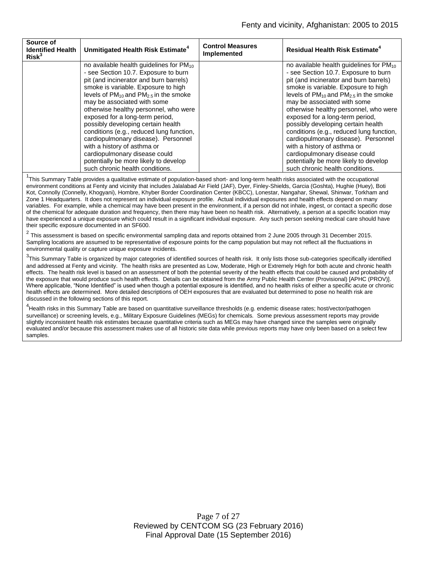| Source of<br><b>Identified Health</b><br>Risk <sup>3</sup> | Unmitigated Health Risk Estimate <sup>4</sup>   | <b>Control Measures</b><br><b>Implemented</b> | <b>Residual Health Risk Estimate<sup>4</sup></b> |
|------------------------------------------------------------|-------------------------------------------------|-----------------------------------------------|--------------------------------------------------|
|                                                            | no available health quidelines for $PM_{10}$    |                                               | no available health quidelines for $PM_{10}$     |
|                                                            | - see Section 10.7. Exposure to burn            |                                               | - see Section 10.7. Exposure to burn             |
|                                                            | pit (and incinerator and burn barrels)          |                                               | pit (and incinerator and burn barrels)           |
|                                                            | smoke is variable. Exposure to high             |                                               | smoke is variable. Exposure to high              |
|                                                            | levels of $PM_{10}$ and $PM_{2.5}$ in the smoke |                                               | levels of $PM_{10}$ and $PM_{2.5}$ in the smoke  |
|                                                            | may be associated with some                     |                                               | may be associated with some                      |
|                                                            | otherwise healthy personnel, who were           |                                               | otherwise healthy personnel, who were            |
|                                                            | exposed for a long-term period,                 |                                               | exposed for a long-term period,                  |
|                                                            | possibly developing certain health              |                                               | possibly developing certain health               |
|                                                            | conditions (e.g., reduced lung function,        |                                               | conditions (e.g., reduced lung function,         |
|                                                            | cardiopulmonary disease). Personnel             |                                               | cardiopulmonary disease). Personnel              |
|                                                            | with a history of asthma or                     |                                               | with a history of asthma or                      |
|                                                            | cardiopulmonary disease could                   |                                               | cardiopulmonary disease could                    |
|                                                            | potentially be more likely to develop           |                                               | potentially be more likely to develop            |
|                                                            | such chronic health conditions.                 |                                               | such chronic health conditions.                  |

<sup>1</sup>This Summary Table provides a qualitative estimate of population-based short- and long-term health risks associated with the occupational environment conditions at Fenty and vicinity that includes Jalalabad Air Field (JAF), Dyer, Finley-Shields, Garcia (Goshta), Hughie (Huey), Boti Kot, Connolly (Connelly, Khogyani), Hombre, Khyber Border Coordination Center (KBCC), Lonestar, Nangahar, Shewal, Shinwar, Torkham and Zone 1 Headquarters. It does not represent an individual exposure profile. Actual individual exposures and health effects depend on many variables. For example, while a chemical may have been present in the environment, if a person did not inhale, ingest, or contact a specific dose of the chemical for adequate duration and frequency, then there may have been no health risk. Alternatively, a person at a specific location may have experienced a unique exposure which could result in a significant individual exposure. Any such person seeking medical care should have their specific exposure documented in an SF600.

 $^2$  This assessment is based on specific environmental sampling data and reports obtained from 2 June 2005 through 31 December 2015. Sampling locations are assumed to be representative of exposure points for the camp population but may not reflect all the fluctuations in environmental quality or capture unique exposure incidents.

 $^3$ This Summary Table is organized by major categories of identified sources of health risk. It only lists those sub-categories specifically identified and addressed at Fenty and vicinity. The health risks are presented as Low, Moderate, High or Extremely High for both acute and chronic health effects. The health risk level is based on an assessment of both the potential severity of the health effects that could be caused and probability of the exposure that would produce such health effects. Details can be obtained from the Army Public Health Center (Provisional) [APHC (PROV)]. Where applicable, "None Identified" is used when though a potential exposure is identified, and no health risks of either a specific acute or chronic health effects are determined. More detailed descriptions of OEH exposures that are evaluated but determined to pose no health risk are discussed in the following sections of this report.

<sup>4</sup>Health risks in this Summary Table are based on quantitative surveillance thresholds (e.g. endemic disease rates; host/vector/pathogen surveillance) or screening levels, e.g., Military Exposure Guidelines (MEGs) for chemicals*.* Some previous assessment reports may provide slightly inconsistent health risk estimates because quantitative criteria such as MEGs may have changed since the samples were originally evaluated and/or because this assessment makes use of all historic site data while previous reports may have only been based on a select few samples.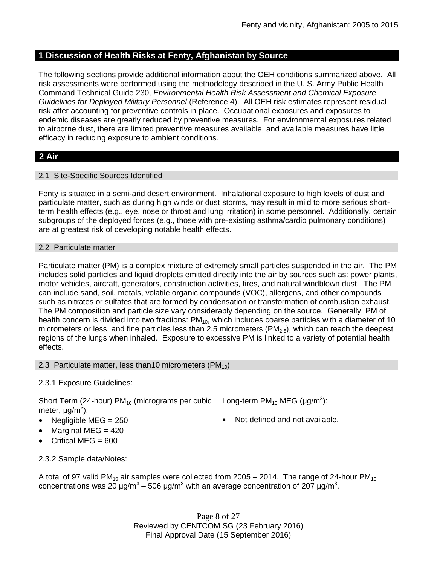### **1 Discussion of Health Risks at Fenty, Afghanistan by Source**

The following sections provide additional information about the OEH conditions summarized above. All risk assessments were performed using the methodology described in the U. S. Army Public Health Command Technical Guide 230, *Environmental Health Risk Assessment and Chemical Exposure Guidelines for Deployed Military Personnel* (Reference 4). All OEH risk estimates represent residual risk after accounting for preventive controls in place. Occupational exposures and exposures to endemic diseases are greatly reduced by preventive measures. For environmental exposures related to airborne dust, there are limited preventive measures available, and available measures have little efficacy in reducing exposure to ambient conditions.

### **2 Air**

### 2.1 Site-Specific Sources Identified

Fenty is situated in a semi-arid desert environment. Inhalational exposure to high levels of dust and particulate matter, such as during high winds or dust storms, may result in mild to more serious shortterm health effects (e.g., eye, nose or throat and lung irritation) in some personnel. Additionally, certain subgroups of the deployed forces (e.g., those with pre-existing asthma/cardio pulmonary conditions) are at greatest risk of developing notable health effects.

### 2.2 Particulate matter

Particulate matter (PM) is a complex mixture of extremely small particles suspended in the air. The PM includes solid particles and liquid droplets emitted directly into the air by sources such as: power plants, motor vehicles, aircraft, generators, construction activities, fires, and natural windblown dust. The PM can include sand, soil, metals, volatile organic compounds (VOC), allergens, and other compounds such as nitrates or sulfates that are formed by condensation or transformation of combustion exhaust. The PM composition and particle size vary considerably depending on the source. Generally, PM of health concern is divided into two fractions:  $PM_{10}$ , which includes coarse particles with a diameter of 10 micrometers or less, and fine particles less than 2.5 micrometers ( $PM_{2.5}$ ), which can reach the deepest regions of the lungs when inhaled. Exposure to excessive PM is linked to a variety of potential health effects.

### 2.3 Particulate matter, less than 10 micrometers ( $PM_{10}$ )

### 2.3.1 Exposure Guidelines:

Short Term (24-hour) PM<sub>10</sub> (micrograms per cubic Long-term PM<sub>10</sub> MEG (µg/m<sup>3</sup>): meter, μg/m<sup>3</sup>):

- 
- Negligible MEG = 250 **•** Not defined and not available.
- Marginal MEG  $=$  420
- Critical MEG  $= 600$

2.3.2 Sample data/Notes:

A total of 97 valid PM<sub>10</sub> air samples were collected from 2005 – 2014. The range of 24-hour PM<sub>10</sub> concentrations was 20 μg/m<sup>3</sup> – 506 μg/m<sup>3</sup> with an average concentration of 207 μg/m<sup>3</sup>.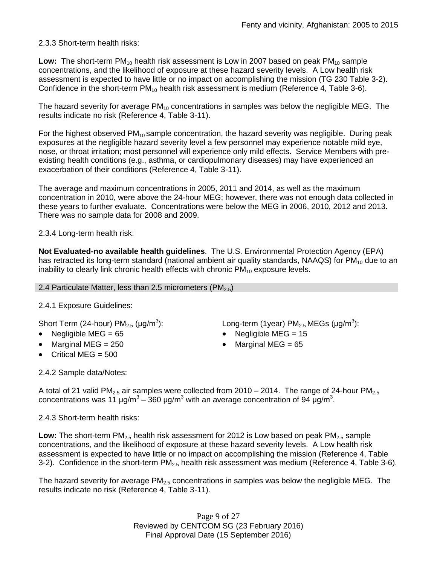2.3.3 Short-term health risks:

**Low:** The short-term PM<sub>10</sub> health risk assessment is Low in 2007 based on peak PM<sub>10</sub> sample concentrations, and the likelihood of exposure at these hazard severity levels. A Low health risk assessment is expected to have little or no impact on accomplishing the mission (TG 230 Table 3-2). Confidence in the short-term  $PM_{10}$  health risk assessment is medium (Reference 4, Table 3-6).

The hazard severity for average  $PM_{10}$  concentrations in samples was below the negligible MEG. The results indicate no risk (Reference 4, Table 3-11).

For the highest observed  $PM_{10}$  sample concentration, the hazard severity was negligible. During peak exposures at the negligible hazard severity level a few personnel may experience notable mild eye, nose, or throat irritation; most personnel will experience only mild effects. Service Members with preexisting health conditions (e.g., asthma, or cardiopulmonary diseases) may have experienced an exacerbation of their conditions (Reference 4, Table 3-11).

The average and maximum concentrations in 2005, 2011 and 2014, as well as the maximum concentration in 2010, were above the 24-hour MEG; however, there was not enough data collected in these years to further evaluate. Concentrations were below the MEG in 2006, 2010, 2012 and 2013. There was no sample data for 2008 and 2009.

2.3.4 Long-term health risk:

**Not Evaluated-no available health guidelines**. The U.S. Environmental Protection Agency (EPA) has retracted its long-term standard (national ambient air quality standards, NAAQS) for  $PM_{10}$  due to an inability to clearly link chronic health effects with chronic  $PM_{10}$  exposure levels.

### 2.4 Particulate Matter, less than 2.5 micrometers ( $PM_{2.5}$ )

2.4.1 Exposure Guidelines:

Short Term (24-hour)  $PM_{2.5}$  ( $\mu$ g/m<sup>3</sup>): ):  $\blacksquare$  Long-term (1year) PM<sub>2.5</sub> MEGs (µg/m<sup>3</sup>):

- Negligible MEG = 65 **Negligible MEG = 15**
- Marginal MEG =  $250$   $\bullet$  Marginal MEG =  $65$
- $\bullet$  Critical MEG = 500

2.4.2 Sample data/Notes:

A total of 21 valid PM<sub>2.5</sub> air samples were collected from 2010 – 2014. The range of 24-hour PM<sub>2.5</sub> concentrations was 11 μg/m<sup>3</sup> – 360 μg/m<sup>3</sup> with an average concentration of 94 μg/m<sup>3</sup>.

2.4.3 Short-term health risks:

Low: The short-term PM<sub>2.5</sub> health risk assessment for 2012 is Low based on peak PM<sub>2.5</sub> sample concentrations, and the likelihood of exposure at these hazard severity levels. A Low health risk assessment is expected to have little or no impact on accomplishing the mission (Reference 4, Table 3-2). Confidence in the short-term  $PM_{2.5}$  health risk assessment was medium (Reference 4, Table 3-6).

The hazard severity for average  $PM_{2.5}$  concentrations in samples was below the negligible MEG. The results indicate no risk (Reference 4, Table 3-11).

> Page 9 of 27 Reviewed by CENTCOM SG (23 February 2016) Final Approval Date (15 September 2016)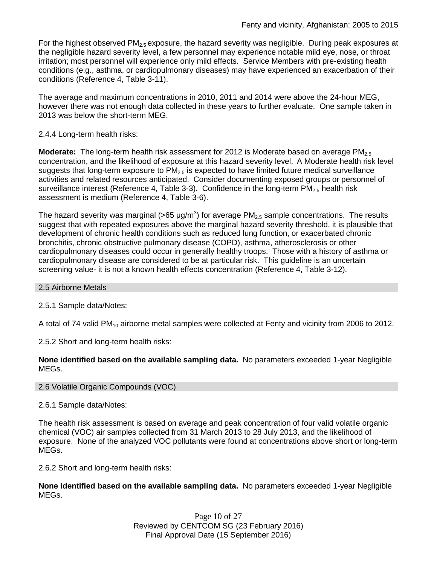For the highest observed  $PM<sub>2.5</sub>$  exposure, the hazard severity was negligible. During peak exposures at the negligible hazard severity level, a few personnel may experience notable mild eye, nose, or throat irritation; most personnel will experience only mild effects. Service Members with pre-existing health conditions (e.g., asthma, or cardiopulmonary diseases) may have experienced an exacerbation of their conditions (Reference 4, Table 3-11).

The average and maximum concentrations in 2010, 2011 and 2014 were above the 24-hour MEG, however there was not enough data collected in these years to further evaluate. One sample taken in 2013 was below the short-term MEG.

### 2.4.4 Long-term health risks:

**Moderate:** The long-term health risk assessment for 2012 is Moderate based on average PM<sub>2.5</sub> concentration, and the likelihood of exposure at this hazard severity level. A Moderate health risk level suggests that long-term exposure to  $PM<sub>2.5</sub>$  is expected to have limited future medical surveillance activities and related resources anticipated. Consider documenting exposed groups or personnel of surveillance interest (Reference 4, Table 3-3). Confidence in the long-term  $PM_{2.5}$  health risk assessment is medium (Reference 4, Table 3-6).

The hazard severity was marginal (>65  $\mu$ g/m<sup>3</sup>) for average PM<sub>2.5</sub> sample concentrations. The results suggest that with repeated exposures above the marginal hazard severity threshold, it is plausible that development of chronic health conditions such as reduced lung function, or exacerbated chronic bronchitis, chronic obstructive pulmonary disease (COPD), asthma, atherosclerosis or other cardiopulmonary diseases could occur in generally healthy troops. Those with a history of asthma or cardiopulmonary disease are considered to be at particular risk. This guideline is an uncertain screening value- it is not a known health effects concentration (Reference 4, Table 3-12).

### 2.5 Airborne Metals

2.5.1 Sample data/Notes:

A total of 74 valid PM<sub>10</sub> airborne metal samples were collected at Fenty and vicinity from 2006 to 2012.

2.5.2 Short and long-term health risks:

**None identified based on the available sampling data.** No parameters exceeded 1-year Negligible MEGs.

2.6 Volatile Organic Compounds (VOC)

2.6.1 Sample data/Notes:

The health risk assessment is based on average and peak concentration of four valid volatile organic chemical (VOC) air samples collected from 31 March 2013 to 28 July 2013, and the likelihood of exposure. None of the analyzed VOC pollutants were found at concentrations above short or long-term MEGs.

2.6.2 Short and long-term health risks:

**None identified based on the available sampling data.** No parameters exceeded 1-year Negligible MEGs.

> Page 10 of 27 Reviewed by CENTCOM SG (23 February 2016) Final Approval Date (15 September 2016)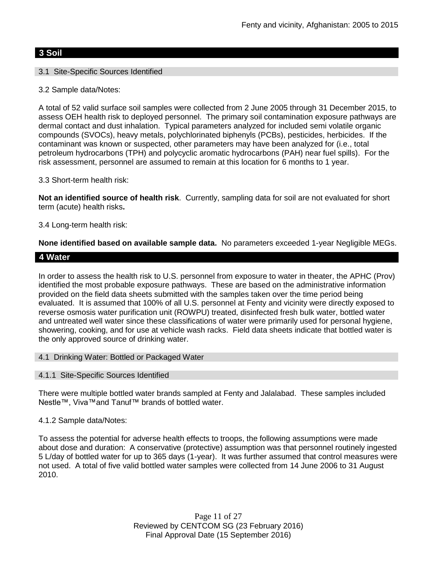### **3 Soil**

### 3.1 Site-Specific Sources Identified

3.2 Sample data/Notes:

A total of 52 valid surface soil samples were collected from 2 June 2005 through 31 December 2015, to assess OEH health risk to deployed personnel. The primary soil contamination exposure pathways are dermal contact and dust inhalation. Typical parameters analyzed for included semi volatile organic compounds (SVOCs), heavy metals, polychlorinated biphenyls (PCBs), pesticides, herbicides. If the contaminant was known or suspected, other parameters may have been analyzed for (i.e., total petroleum hydrocarbons (TPH) and polycyclic aromatic hydrocarbons (PAH) near fuel spills). For the risk assessment, personnel are assumed to remain at this location for 6 months to 1 year.

#### 3.3 Short-term health risk:

**Not an identified source of health risk**. Currently, sampling data for soil are not evaluated for short term (acute) health risks**.**

#### 3.4 Long-term health risk:

#### **None identified based on available sample data.** No parameters exceeded 1-year Negligible MEGs.

#### **4 Water**

In order to assess the health risk to U.S. personnel from exposure to water in theater, the APHC (Prov) identified the most probable exposure pathways. These are based on the administrative information provided on the field data sheets submitted with the samples taken over the time period being evaluated. It is assumed that 100% of all U.S. personnel at Fenty and vicinity were directly exposed to reverse osmosis water purification unit (ROWPU) treated, disinfected fresh bulk water, bottled water and untreated well water since these classifications of water were primarily used for personal hygiene, showering, cooking, and for use at vehicle wash racks. Field data sheets indicate that bottled water is the only approved source of drinking water.

#### 4.1 Drinking Water: Bottled or Packaged Water

#### 4.1.1 Site-Specific Sources Identified

There were multiple bottled water brands sampled at Fenty and Jalalabad. These samples included Nestle™, Viva™and Tanuf™ brands of bottled water.

#### 4.1.2 Sample data/Notes:

To assess the potential for adverse health effects to troops, the following assumptions were made about dose and duration: A conservative (protective) assumption was that personnel routinely ingested 5 L/day of bottled water for up to 365 days (1-year). It was further assumed that control measures were not used. A total of five valid bottled water samples were collected from 14 June 2006 to 31 August 2010.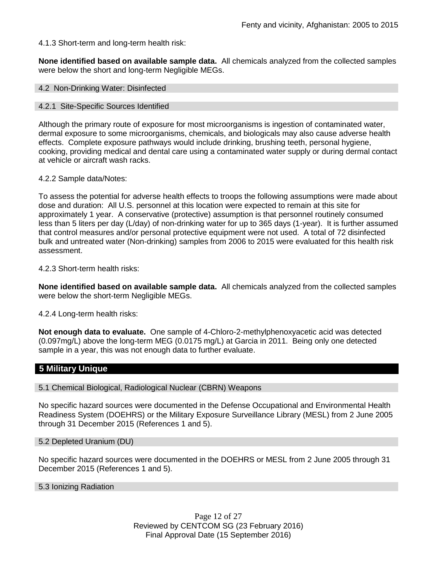#### 4.1.3 Short-term and long-term health risk:

**None identified based on available sample data.** All chemicals analyzed from the collected samples were below the short and long-term Negligible MEGs.

#### 4.2 Non-Drinking Water: Disinfected

#### 4.2.1 Site-Specific Sources Identified

Although the primary route of exposure for most microorganisms is ingestion of contaminated water, dermal exposure to some microorganisms, chemicals, and biologicals may also cause adverse health effects. Complete exposure pathways would include drinking, brushing teeth, personal hygiene, cooking, providing medical and dental care using a contaminated water supply or during dermal contact at vehicle or aircraft wash racks.

#### 4.2.2 Sample data/Notes:

To assess the potential for adverse health effects to troops the following assumptions were made about dose and duration: All U.S. personnel at this location were expected to remain at this site for approximately 1 year. A conservative (protective) assumption is that personnel routinely consumed less than 5 liters per day (L/day) of non-drinking water for up to 365 days (1-year). It is further assumed that control measures and/or personal protective equipment were not used. A total of 72 disinfected bulk and untreated water (Non-drinking) samples from 2006 to 2015 were evaluated for this health risk assessment.

4.2.3 Short-term health risks:

**None identified based on available sample data.** All chemicals analyzed from the collected samples were below the short-term Negligible MEGs.

4.2.4 Long-term health risks:

**Not enough data to evaluate.** One sample of 4-Chloro-2-methylphenoxyacetic acid was detected (0.097mg/L) above the long-term MEG (0.0175 mg/L) at Garcia in 2011. Being only one detected sample in a year, this was not enough data to further evaluate.

### **5 Military Unique**

5.1 Chemical Biological, Radiological Nuclear (CBRN) Weapons

No specific hazard sources were documented in the Defense Occupational and Environmental Health Readiness System (DOEHRS) or the Military Exposure Surveillance Library (MESL) from 2 June 2005 through 31 December 2015 (References 1 and 5).

5.2 Depleted Uranium (DU)

No specific hazard sources were documented in the DOEHRS or MESL from 2 June 2005 through 31 December 2015 (References 1 and 5).

5.3 Ionizing Radiation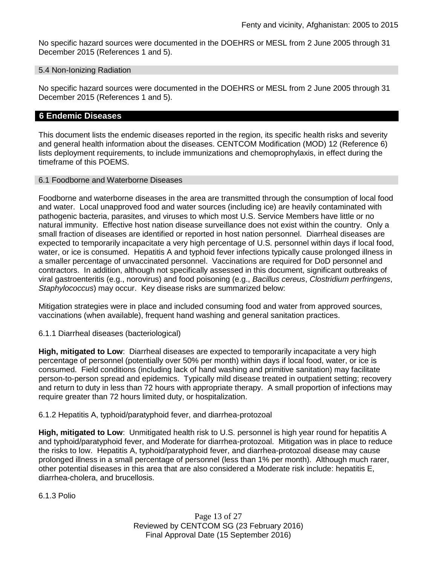No specific hazard sources were documented in the DOEHRS or MESL from 2 June 2005 through 31 December 2015 (References 1 and 5).

#### 5.4 Non-Ionizing Radiation

No specific hazard sources were documented in the DOEHRS or MESL from 2 June 2005 through 31 December 2015 (References 1 and 5).

#### **6 Endemic Diseases**

This document lists the endemic diseases reported in the region, its specific health risks and severity and general health information about the diseases. CENTCOM Modification (MOD) 12 (Reference 6) lists deployment requirements, to include immunizations and chemoprophylaxis, in effect during the timeframe of this POEMS.

#### 6.1 Foodborne and Waterborne Diseases

Foodborne and waterborne diseases in the area are transmitted through the consumption of local food and water. Local unapproved food and water sources (including ice) are heavily contaminated with pathogenic bacteria, parasites, and viruses to which most U.S. Service Members have little or no natural immunity. Effective host nation disease surveillance does not exist within the country. Only a small fraction of diseases are identified or reported in host nation personnel. Diarrheal diseases are expected to temporarily incapacitate a very high percentage of U.S. personnel within days if local food, water, or ice is consumed. Hepatitis A and typhoid fever infections typically cause prolonged illness in a smaller percentage of unvaccinated personnel. Vaccinations are required for DoD personnel and contractors. In addition, although not specifically assessed in this document, significant outbreaks of viral gastroenteritis (e.g., norovirus) and food poisoning (e.g., *Bacillus cereus*, *Clostridium perfringens*, *Staphylococcus*) may occur. Key disease risks are summarized below:

Mitigation strategies were in place and included consuming food and water from approved sources, vaccinations (when available), frequent hand washing and general sanitation practices.

6.1.1 Diarrheal diseases (bacteriological)

**High, mitigated to Low**: Diarrheal diseases are expected to temporarily incapacitate a very high percentage of personnel (potentially over 50% per month) within days if local food, water, or ice is consumed. Field conditions (including lack of hand washing and primitive sanitation) may facilitate person-to-person spread and epidemics. Typically mild disease treated in outpatient setting; recovery and return to duty in less than 72 hours with appropriate therapy. A small proportion of infections may require greater than 72 hours limited duty, or hospitalization.

6.1.2 Hepatitis A, typhoid/paratyphoid fever, and diarrhea-protozoal

**High, mitigated to Low**: Unmitigated health risk to U.S. personnel is high year round for hepatitis A and typhoid/paratyphoid fever, and Moderate for diarrhea-protozoal. Mitigation was in place to reduce the risks to low. Hepatitis A, typhoid/paratyphoid fever, and diarrhea-protozoal disease may cause prolonged illness in a small percentage of personnel (less than 1% per month). Although much rarer, other potential diseases in this area that are also considered a Moderate risk include: hepatitis E, diarrhea-cholera, and brucellosis.

6.1.3 Polio

Page 13 of 27 Reviewed by CENTCOM SG (23 February 2016) Final Approval Date (15 September 2016)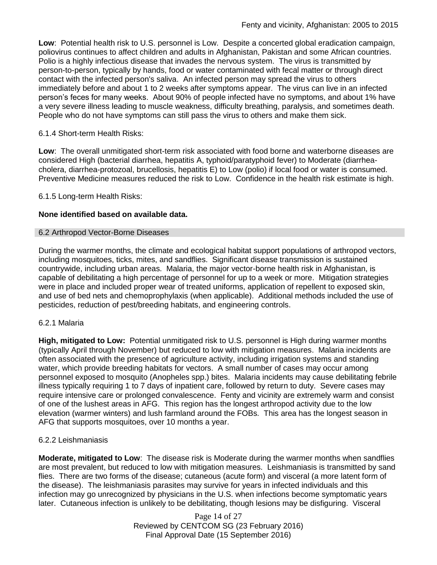**Low**: Potential health risk to U.S. personnel is Low. Despite a concerted global eradication campaign, poliovirus continues to affect children and adults in Afghanistan, Pakistan and some African countries. Polio is a highly infectious disease that invades the nervous system. The virus is transmitted by person-to-person, typically by hands, food or water contaminated with fecal matter or through direct contact with the infected person's saliva. An infected person may spread the virus to others immediately before and about 1 to 2 weeks after symptoms appear. The virus can live in an infected person's feces for many weeks. About 90% of people infected have no symptoms, and about 1% have a very severe illness leading to muscle weakness, difficulty breathing, paralysis, and sometimes death. People who do not have symptoms can still pass the virus to others and make them sick.

### 6.1.4 Short-term Health Risks:

**Low**: The overall unmitigated short-term risk associated with food borne and waterborne diseases are considered High (bacterial diarrhea, hepatitis A, typhoid/paratyphoid fever) to Moderate (diarrheacholera, diarrhea-protozoal, brucellosis, hepatitis E) to Low (polio) if local food or water is consumed. Preventive Medicine measures reduced the risk to Low. Confidence in the health risk estimate is high.

6.1.5 Long-term Health Risks:

### **None identified based on available data.**

### 6.2 Arthropod Vector-Borne Diseases

During the warmer months, the climate and ecological habitat support populations of arthropod vectors, including mosquitoes, ticks, mites, and sandflies. Significant disease transmission is sustained countrywide, including urban areas. Malaria, the major vector-borne health risk in Afghanistan, is capable of debilitating a high percentage of personnel for up to a week or more. Mitigation strategies were in place and included proper wear of treated uniforms, application of repellent to exposed skin, and use of bed nets and chemoprophylaxis (when applicable). Additional methods included the use of pesticides, reduction of pest/breeding habitats, and engineering controls.

### 6.2.1 Malaria

**High, mitigated to Low:** Potential unmitigated risk to U.S. personnel is High during warmer months (typically April through November) but reduced to low with mitigation measures. Malaria incidents are often associated with the presence of agriculture activity, including irrigation systems and standing water, which provide breeding habitats for vectors. A small number of cases may occur among personnel exposed to mosquito (Anopheles spp.) bites. Malaria incidents may cause debilitating febrile illness typically requiring 1 to 7 days of inpatient care, followed by return to duty. Severe cases may require intensive care or prolonged convalescence. Fenty and vicinity are extremely warm and consist of one of the lushest areas in AFG. This region has the longest arthropod activity due to the low elevation (warmer winters) and lush farmland around the FOBs. This area has the longest season in AFG that supports mosquitoes, over 10 months a year.

### 6.2.2 Leishmaniasis

**Moderate, mitigated to Low**: The disease risk is Moderate during the warmer months when sandflies are most prevalent, but reduced to low with mitigation measures. Leishmaniasis is transmitted by sand flies. There are two forms of the disease; cutaneous (acute form) and visceral (a more latent form of the disease). The leishmaniasis parasites may survive for years in infected individuals and this infection may go unrecognized by physicians in the U.S. when infections become symptomatic years later. Cutaneous infection is unlikely to be debilitating, though lesions may be disfiguring. Visceral

> Page 14 of 27 Reviewed by CENTCOM SG (23 February 2016) Final Approval Date (15 September 2016)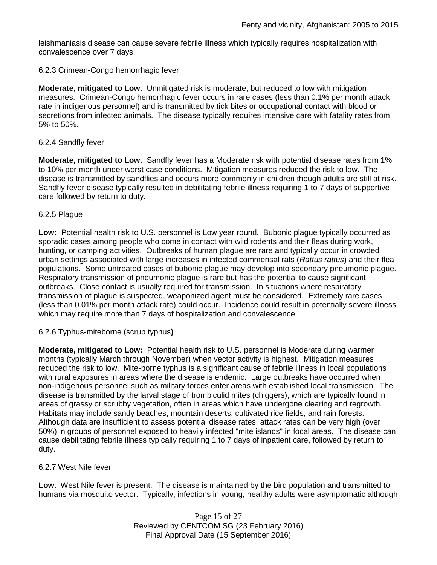leishmaniasis disease can cause severe febrile illness which typically requires hospitalization with convalescence over 7 days.

#### 6.2.3 Crimean-Congo hemorrhagic fever

**Moderate, mitigated to Low**: Unmitigated risk is moderate, but reduced to low with mitigation measures. Crimean-Congo hemorrhagic fever occurs in rare cases (less than 0.1% per month attack rate in indigenous personnel) and is transmitted by tick bites or occupational contact with blood or secretions from infected animals. The disease typically requires intensive care with fatality rates from 5% to 50%.

#### 6.2.4 Sandfly fever

**Moderate, mitigated to Low**: Sandfly fever has a Moderate risk with potential disease rates from 1% to 10% per month under worst case conditions. Mitigation measures reduced the risk to low. The disease is transmitted by sandflies and occurs more commonly in children though adults are still at risk. Sandfly fever disease typically resulted in debilitating febrile illness requiring 1 to 7 days of supportive care followed by return to duty.

#### 6.2.5 Plague

**Low:** Potential health risk to U.S. personnel is Low year round. Bubonic plague typically occurred as sporadic cases among people who come in contact with wild rodents and their fleas during work, hunting, or camping activities. Outbreaks of human plague are rare and typically occur in crowded urban settings associated with large increases in infected commensal rats (*Rattus rattus*) and their flea populations. Some untreated cases of bubonic plague may develop into secondary pneumonic plague. Respiratory transmission of pneumonic plague is rare but has the potential to cause significant outbreaks. Close contact is usually required for transmission. In situations where respiratory transmission of plague is suspected, weaponized agent must be considered. Extremely rare cases (less than 0.01% per month attack rate) could occur. Incidence could result in potentially severe illness which may require more than 7 days of hospitalization and convalescence.

### 6.2.6 Typhus-miteborne (scrub typhus**)**

**Moderate, mitigated to Low:** Potential health risk to U.S. personnel is Moderate during warmer months (typically March through November) when vector activity is highest. Mitigation measures reduced the risk to low. Mite-borne typhus is a significant cause of febrile illness in local populations with rural exposures in areas where the disease is endemic. Large outbreaks have occurred when non-indigenous personnel such as military forces enter areas with established local transmission. The disease is transmitted by the larval stage of trombiculid mites (chiggers), which are typically found in areas of grassy or scrubby vegetation, often in areas which have undergone clearing and regrowth. Habitats may include sandy beaches, mountain deserts, cultivated rice fields, and rain forests. Although data are insufficient to assess potential disease rates, attack rates can be very high (over 50%) in groups of personnel exposed to heavily infected "mite islands" in focal areas. The disease can cause debilitating febrile illness typically requiring 1 to 7 days of inpatient care, followed by return to duty.

#### 6.2.7 West Nile fever

**Low**: West Nile fever is present. The disease is maintained by the bird population and transmitted to humans via mosquito vector. Typically, infections in young, healthy adults were asymptomatic although

> Page 15 of 27 Reviewed by CENTCOM SG (23 February 2016) Final Approval Date (15 September 2016)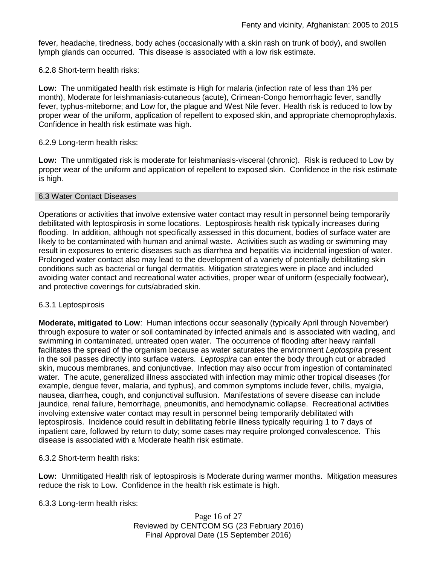fever, headache, tiredness, body aches (occasionally with a skin rash on trunk of body), and swollen lymph glands can occurred. This disease is associated with a low risk estimate.

6.2.8 Short-term health risks:

**Low:** The unmitigated health risk estimate is High for malaria (infection rate of less than 1% per month), Moderate for leishmaniasis-cutaneous (acute), Crimean-Congo hemorrhagic fever, sandfly fever, typhus-miteborne; and Low for, the plague and West Nile fever. Health risk is reduced to low by proper wear of the uniform, application of repellent to exposed skin, and appropriate chemoprophylaxis. Confidence in health risk estimate was high.

6.2.9 Long-term health risks:

**Low:** The unmitigated risk is moderate for leishmaniasis-visceral (chronic). Risk is reduced to Low by proper wear of the uniform and application of repellent to exposed skin. Confidence in the risk estimate is high.

### 6.3 Water Contact Diseases

Operations or activities that involve extensive water contact may result in personnel being temporarily debilitated with leptospirosis in some locations. Leptospirosis health risk typically increases during flooding. In addition, although not specifically assessed in this document, bodies of surface water are likely to be contaminated with human and animal waste. Activities such as wading or swimming may result in exposures to enteric diseases such as diarrhea and hepatitis via incidental ingestion of water. Prolonged water contact also may lead to the development of a variety of potentially debilitating skin conditions such as bacterial or fungal dermatitis. Mitigation strategies were in place and included avoiding water contact and recreational water activities, proper wear of uniform (especially footwear), and protective coverings for cuts/abraded skin.

### 6.3.1 Leptospirosis

**Moderate, mitigated to Low**: Human infections occur seasonally (typically April through November) through exposure to water or soil contaminated by infected animals and is associated with wading, and swimming in contaminated, untreated open water. The occurrence of flooding after heavy rainfall facilitates the spread of the organism because as water saturates the environment *Leptospira* present in the soil passes directly into surface waters. *Leptospira* can enter the body through cut or abraded skin, mucous membranes, and conjunctivae. Infection may also occur from ingestion of contaminated water. The acute, generalized illness associated with infection may mimic other tropical diseases (for example, dengue fever, malaria, and typhus), and common symptoms include fever, chills, myalgia, nausea, diarrhea, cough, and conjunctival suffusion. Manifestations of severe disease can include jaundice, renal failure, hemorrhage, pneumonitis, and hemodynamic collapse. Recreational activities involving extensive water contact may result in personnel being temporarily debilitated with leptospirosis. Incidence could result in debilitating febrile illness typically requiring 1 to 7 days of inpatient care, followed by return to duty; some cases may require prolonged convalescence. This disease is associated with a Moderate health risk estimate.

6.3.2 Short-term health risks:

**Low:** Unmitigated Health risk of leptospirosis is Moderate during warmer months. Mitigation measures reduce the risk to Low. Confidence in the health risk estimate is high.

6.3.3 Long-term health risks:

Page 16 of 27 Reviewed by CENTCOM SG (23 February 2016) Final Approval Date (15 September 2016)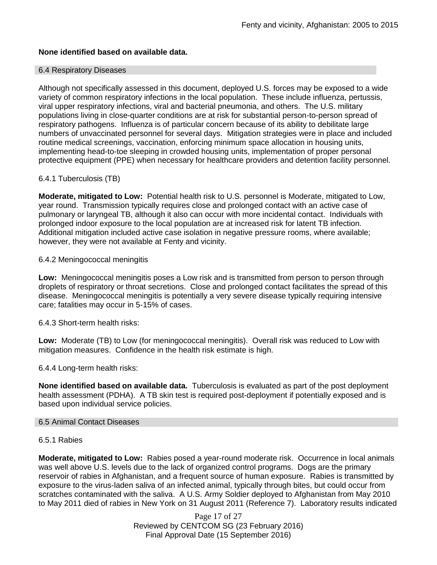### **None identified based on available data.**

#### 6.4 Respiratory Diseases

Although not specifically assessed in this document, deployed U.S. forces may be exposed to a wide variety of common respiratory infections in the local population. These include influenza, pertussis, viral upper respiratory infections, viral and bacterial pneumonia, and others. The U.S. military populations living in close-quarter conditions are at risk for substantial person-to-person spread of respiratory pathogens. Influenza is of particular concern because of its ability to debilitate large numbers of unvaccinated personnel for several days. Mitigation strategies were in place and included routine medical screenings, vaccination, enforcing minimum space allocation in housing units, implementing head-to-toe sleeping in crowded housing units, implementation of proper personal protective equipment (PPE) when necessary for healthcare providers and detention facility personnel.

### 6.4.1 Tuberculosis (TB)

**Moderate, mitigated to Low:** Potential health risk to U.S. personnel is Moderate, mitigated to Low, year round. Transmission typically requires close and prolonged contact with an active case of pulmonary or laryngeal TB, although it also can occur with more incidental contact. Individuals with prolonged indoor exposure to the local population are at increased risk for latent TB infection. Additional mitigation included active case isolation in negative pressure rooms, where available; however, they were not available at Fenty and vicinity.

### 6.4.2 Meningococcal meningitis

**Low:** Meningococcal meningitis poses a Low risk and is transmitted from person to person through droplets of respiratory or throat secretions. Close and prolonged contact facilitates the spread of this disease. Meningococcal meningitis is potentially a very severe disease typically requiring intensive care; fatalities may occur in 5-15% of cases.

6.4.3 Short-term health risks:

**Low:** Moderate (TB) to Low (for meningococcal meningitis). Overall risk was reduced to Low with mitigation measures. Confidence in the health risk estimate is high.

6.4.4 Long-term health risks:

**None identified based on available data.** Tuberculosis is evaluated as part of the post deployment health assessment (PDHA). A TB skin test is required post-deployment if potentially exposed and is based upon individual service policies.

### 6.5 Animal Contact Diseases

#### 6.5.1 Rabies

**Moderate, mitigated to Low:** Rabies posed a year-round moderate risk. Occurrence in local animals was well above U.S. levels due to the lack of organized control programs. Dogs are the primary reservoir of rabies in Afghanistan, and a frequent source of human exposure. Rabies is transmitted by exposure to the virus-laden saliva of an infected animal, typically through bites, but could occur from scratches contaminated with the saliva. A U.S. Army Soldier deployed to Afghanistan from May 2010 to May 2011 died of rabies in New York on 31 August 2011 (Reference 7). Laboratory results indicated

> Page 17 of 27 Reviewed by CENTCOM SG (23 February 2016) Final Approval Date (15 September 2016)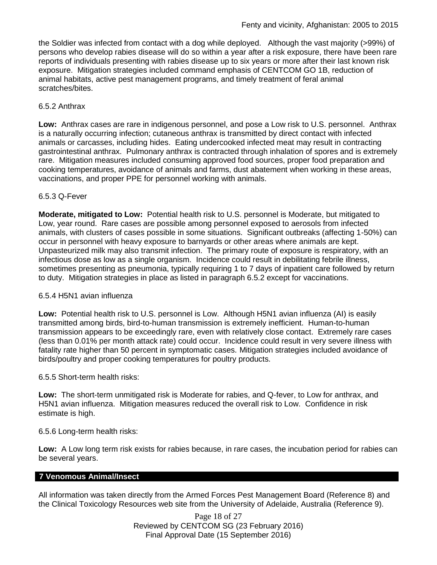the Soldier was infected from contact with a dog while deployed. Although the vast majority (>99%) of persons who develop rabies disease will do so within a year after a risk exposure, there have been rare reports of individuals presenting with rabies disease up to six years or more after their last known risk exposure. Mitigation strategies included command emphasis of CENTCOM GO 1B, reduction of animal habitats, active pest management programs, and timely treatment of feral animal scratches/bites.

### 6.5.2 Anthrax

**Low:** Anthrax cases are rare in indigenous personnel, and pose a Low risk to U.S. personnel. Anthrax is a naturally occurring infection; cutaneous anthrax is transmitted by direct contact with infected animals or carcasses, including hides. Eating undercooked infected meat may result in contracting gastrointestinal anthrax. Pulmonary anthrax is contracted through inhalation of spores and is extremely rare. Mitigation measures included consuming approved food sources, proper food preparation and cooking temperatures, avoidance of animals and farms, dust abatement when working in these areas, vaccinations, and proper PPE for personnel working with animals.

### 6.5.3 Q-Fever

**Moderate, mitigated to Low:** Potential health risk to U.S. personnel is Moderate, but mitigated to Low, year round. Rare cases are possible among personnel exposed to aerosols from infected animals, with clusters of cases possible in some situations. Significant outbreaks (affecting 1-50%) can occur in personnel with heavy exposure to barnyards or other areas where animals are kept. Unpasteurized milk may also transmit infection. The primary route of exposure is respiratory, with an infectious dose as low as a single organism. Incidence could result in debilitating febrile illness, sometimes presenting as pneumonia, typically requiring 1 to 7 days of inpatient care followed by return to duty. Mitigation strategies in place as listed in paragraph 6.5.2 except for vaccinations.

### 6.5.4 H5N1 avian influenza

**Low:** Potential health risk to U.S. personnel is Low. Although H5N1 avian influenza (AI) is easily transmitted among birds, bird-to-human transmission is extremely inefficient. Human-to-human transmission appears to be exceedingly rare, even with relatively close contact. Extremely rare cases (less than 0.01% per month attack rate) could occur. Incidence could result in very severe illness with fatality rate higher than 50 percent in symptomatic cases. Mitigation strategies included avoidance of birds/poultry and proper cooking temperatures for poultry products.

6.5.5 Short-term health risks:

**Low:** The short-term unmitigated risk is Moderate for rabies, and Q-fever, to Low for anthrax, and H5N1 avian influenza. Mitigation measures reduced the overall risk to Low.Confidence in risk estimate is high.

6.5.6 Long-term health risks:

**Low:** A Low long term risk exists for rabies because, in rare cases, the incubation period for rabies can be several years.

### **7 Venomous Animal/Insect**

All information was taken directly from the Armed Forces Pest Management Board (Reference 8) and the Clinical Toxicology Resources web site from the University of Adelaide, Australia (Reference 9).

> Page 18 of 27 Reviewed by CENTCOM SG (23 February 2016) Final Approval Date (15 September 2016)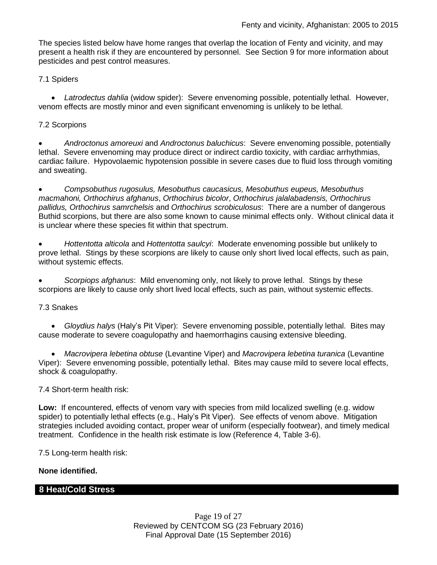The species listed below have home ranges that overlap the location of Fenty and vicinity, and may present a health risk if they are encountered by personnel. See Section 9 for more information about pesticides and pest control measures.

### 7.1 Spiders

 *Latrodectus dahlia* (widow spider): Severe envenoming possible, potentially lethal. However, venom effects are mostly minor and even significant envenoming is unlikely to be lethal.

### 7.2 Scorpions

 *Androctonus amoreuxi* and *Androctonus baluchicus*: Severe envenoming possible, potentially lethal. Severe envenoming may produce direct or indirect cardio toxicity, with cardiac arrhythmias, cardiac failure. Hypovolaemic hypotension possible in severe cases due to fluid loss through vomiting and sweating.

 *Compsobuthus rugosulus, Mesobuthus caucasicus, Mesobuthus eupeus, Mesobuthus macmahoni, Orthochirus afghanus*, *Orthochirus bicolor*, *Orthochirus jalalabadensis, Orthochirus pallidus, Orthochirus samrchelsis* and *Orthochirus scrobiculosus*: There are a number of dangerous Buthid scorpions, but there are also some known to cause minimal effects only. Without clinical data it is unclear where these species fit within that spectrum.

 *Hottentotta alticola* and *Hottentotta saulcyi*: Moderate envenoming possible but unlikely to prove lethal. Stings by these scorpions are likely to cause only short lived local effects, such as pain, without systemic effects.

 *Scorpiops afghanus*: Mild envenoming only, not likely to prove lethal. Stings by these scorpions are likely to cause only short lived local effects, such as pain, without systemic effects.

### 7.3 Snakes

 *Gloydius halys* (Haly's Pit Viper): Severe envenoming possible, potentially lethal. Bites may cause moderate to severe coagulopathy and haemorrhagins causing extensive bleeding.

 *Macrovipera lebetina obtuse* (Levantine Viper) and *Macrovipera lebetina turanica* (Levantine Viper): Severe envenoming possible, potentially lethal. Bites may cause mild to severe local effects, shock & coagulopathy.

### 7.4 Short-term health risk:

**Low:** If encountered, effects of venom vary with species from mild localized swelling (e.g. widow spider) to potentially lethal effects (e.g., Haly's Pit Viper). See effects of venom above. Mitigation strategies included avoiding contact, proper wear of uniform (especially footwear), and timely medical treatment. Confidence in the health risk estimate is low (Reference 4, Table 3-6).

7.5 Long-term health risk:

### **None identified.**

# **8 Heat/Cold Stress**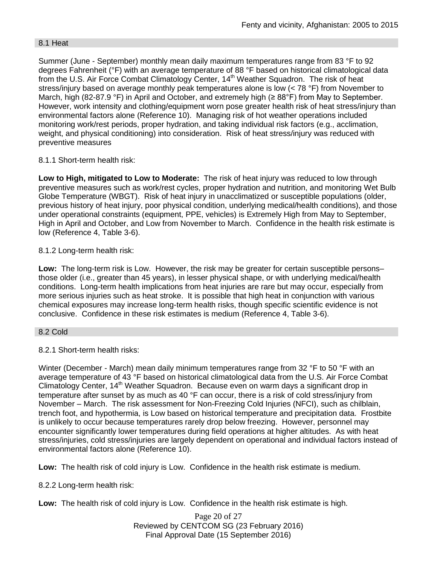### 8.1 Heat

Summer (June - September) monthly mean daily maximum temperatures range from 83 °F to 92 degrees Fahrenheit (°F) with an average temperature of 88 °F based on historical climatological data from the U.S. Air Force Combat Climatology Center, 14<sup>th</sup> Weather Squadron. The risk of heat stress/injury based on average monthly peak temperatures alone is low (< 78 °F) from November to March, high (82-87.9 °F) in April and October, and extremely high ( $\geq 88^\circ$ F) from May to September. However, work intensity and clothing/equipment worn pose greater health risk of heat stress/injury than environmental factors alone (Reference 10). Managing risk of hot weather operations included monitoring work/rest periods, proper hydration, and taking individual risk factors (e.g., acclimation, weight, and physical conditioning) into consideration. Risk of heat stress/injury was reduced with preventive measures

#### 8.1.1 Short-term health risk:

**Low to High, mitigated to Low to Moderate:** The risk of heat injury was reduced to low through preventive measures such as work/rest cycles, proper hydration and nutrition, and monitoring Wet Bulb Globe Temperature (WBGT). Risk of heat injury in unacclimatized or susceptible populations (older, previous history of heat injury, poor physical condition, underlying medical/health conditions), and those under operational constraints (equipment, PPE, vehicles) is Extremely High from May to September, High in April and October, and Low from November to March. Confidence in the health risk estimate is low (Reference 4, Table 3-6).

#### 8.1.2 Long-term health risk:

**Low:** The long-term risk is Low. However, the risk may be greater for certain susceptible persons– those older (i.e., greater than 45 years), in lesser physical shape, or with underlying medical/health conditions. Long-term health implications from heat injuries are rare but may occur, especially from more serious injuries such as heat stroke. It is possible that high heat in conjunction with various chemical exposures may increase long-term health risks, though specific scientific evidence is not conclusive. Confidence in these risk estimates is medium (Reference 4, Table 3-6).

#### 8.2 Cold

### 8.2.1 Short-term health risks:

Winter (December - March) mean daily minimum temperatures range from 32 °F to 50 °F with an average temperature of 43 °F based on historical climatological data from the U.S. Air Force Combat Climatology Center, 14<sup>th</sup> Weather Squadron. Because even on warm days a significant drop in temperature after sunset by as much as 40 °F can occur, there is a risk of cold stress/injury from November – March. The risk assessment for Non-Freezing Cold Injuries (NFCI), such as chilblain, trench foot, and hypothermia, is Low based on historical temperature and precipitation data. Frostbite is unlikely to occur because temperatures rarely drop below freezing. However, personnel may encounter significantly lower temperatures during field operations at higher altitudes. As with heat stress/injuries, cold stress/injuries are largely dependent on operational and individual factors instead of environmental factors alone (Reference 10).

**Low:** The health risk of cold injury is Low. Confidence in the health risk estimate is medium.

8.2.2 Long-term health risk:

**Low:** The health risk of cold injury is Low. Confidence in the health risk estimate is high.

Page 20 of 27 Reviewed by CENTCOM SG (23 February 2016) Final Approval Date (15 September 2016)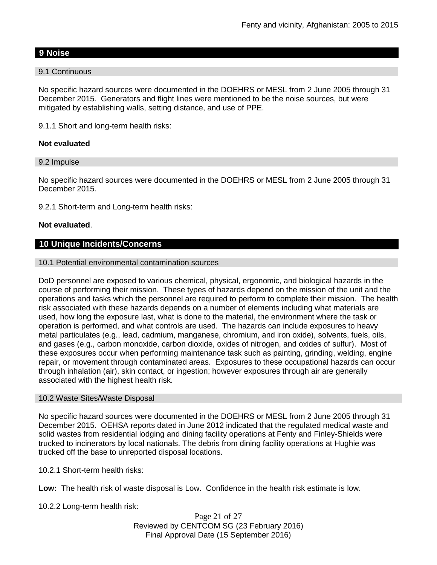### **9 Noise**

#### 9.1 Continuous

No specific hazard sources were documented in the DOEHRS or MESL from 2 June 2005 through 31 December 2015. Generators and flight lines were mentioned to be the noise sources, but were mitigated by establishing walls, setting distance, and use of PPE.

9.1.1 Short and long-term health risks:

#### **Not evaluated**

#### 9.2 Impulse

No specific hazard sources were documented in the DOEHRS or MESL from 2 June 2005 through 31 December 2015.

9.2.1 Short-term and Long-term health risks:

#### **Not evaluated**.

### **10 Unique Incidents/Concerns**

#### 10.1 Potential environmental contamination sources

DoD personnel are exposed to various chemical, physical, ergonomic, and biological hazards in the course of performing their mission. These types of hazards depend on the mission of the unit and the operations and tasks which the personnel are required to perform to complete their mission. The health risk associated with these hazards depends on a number of elements including what materials are used, how long the exposure last, what is done to the material, the environment where the task or operation is performed, and what controls are used. The hazards can include exposures to heavy metal particulates (e.g., lead, cadmium, manganese, chromium, and iron oxide), solvents, fuels, oils, and gases (e.g., carbon monoxide, carbon dioxide, oxides of nitrogen, and oxides of sulfur). Most of these exposures occur when performing maintenance task such as painting, grinding, welding, engine repair, or movement through contaminated areas. Exposures to these occupational hazards can occur through inhalation (air), skin contact, or ingestion; however exposures through air are generally associated with the highest health risk.

#### 10.2 Waste Sites/Waste Disposal

No specific hazard sources were documented in the DOEHRS or MESL from 2 June 2005 through 31 December 2015. OEHSA reports dated in June 2012 indicated that the regulated medical waste and solid wastes from residential lodging and dining facility operations at Fenty and Finley-Shields were trucked to incinerators by local nationals. The debris from dining facility operations at Hughie was trucked off the base to unreported disposal locations.

10.2.1 Short-term health risks:

**Low:** The health risk of waste disposal is Low. Confidence in the health risk estimate is low.

10.2.2 Long-term health risk:

Page 21 of 27 Reviewed by CENTCOM SG (23 February 2016) Final Approval Date (15 September 2016)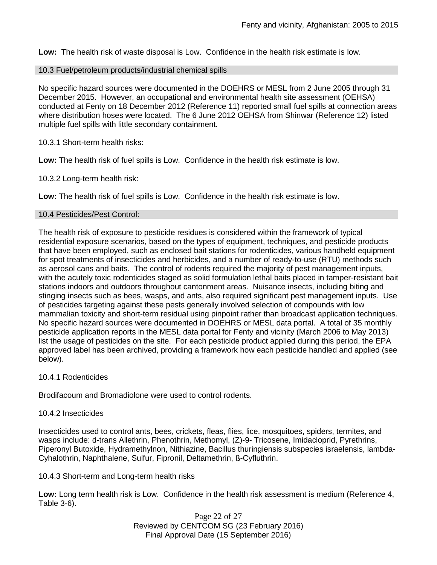**Low:** The health risk of waste disposal is Low. Confidence in the health risk estimate is low.

#### 10.3 Fuel/petroleum products/industrial chemical spills

No specific hazard sources were documented in the DOEHRS or MESL from 2 June 2005 through 31 December 2015. However, an occupational and environmental health site assessment (OEHSA) conducted at Fenty on 18 December 2012 (Reference 11) reported small fuel spills at connection areas where distribution hoses were located. The 6 June 2012 OEHSA from Shinwar (Reference 12) listed multiple fuel spills with little secondary containment.

#### 10.3.1 Short-term health risks:

**Low:** The health risk of fuel spills is Low. Confidence in the health risk estimate is low.

10.3.2 Long-term health risk:

**Low:** The health risk of fuel spills is Low. Confidence in the health risk estimate is low.

#### 10.4 Pesticides/Pest Control:

The health risk of exposure to pesticide residues is considered within the framework of typical residential exposure scenarios, based on the types of equipment, techniques, and pesticide products that have been employed, such as enclosed bait stations for rodenticides, various handheld equipment for spot treatments of insecticides and herbicides, and a number of ready-to-use (RTU) methods such as aerosol cans and baits. The control of rodents required the majority of pest management inputs, with the acutely toxic rodenticides staged as solid formulation lethal baits placed in tamper-resistant bait stations indoors and outdoors throughout cantonment areas. Nuisance insects, including biting and stinging insects such as bees, wasps, and ants, also required significant pest management inputs. Use of pesticides targeting against these pests generally involved selection of compounds with low mammalian toxicity and short-term residual using pinpoint rather than broadcast application techniques. No specific hazard sources were documented in DOEHRS or MESL data portal. A total of 35 monthly pesticide application reports in the MESL data portal for Fenty and vicinity (March 2006 to May 2013) list the usage of pesticides on the site. For each pesticide product applied during this period, the EPA approved label has been archived, providing a framework how each pesticide handled and applied (see below).

#### 10.4.1 Rodenticides

Brodifacoum and Bromadiolone were used to control rodents.

#### 10.4.2 Insecticides

Insecticides used to control ants, bees, crickets, fleas, flies, lice, mosquitoes, spiders, termites, and wasps include: d-trans Allethrin, Phenothrin, Methomyl, (Z)-9- Tricosene, Imidacloprid, Pyrethrins, Piperonyl Butoxide, Hydramethylnon, Nithiazine, Bacillus thuringiensis subspecies israelensis, lambda-Cyhalothrin, Naphthalene, Sulfur, Fipronil, Deltamethrin, ß-Cyfluthrin.

10.4.3 Short-term and Long-term health risks

**Low:** Long term health risk is Low. Confidence in the health risk assessment is medium (Reference 4, Table 3-6).

> Page 22 of 27 Reviewed by CENTCOM SG (23 February 2016) Final Approval Date (15 September 2016)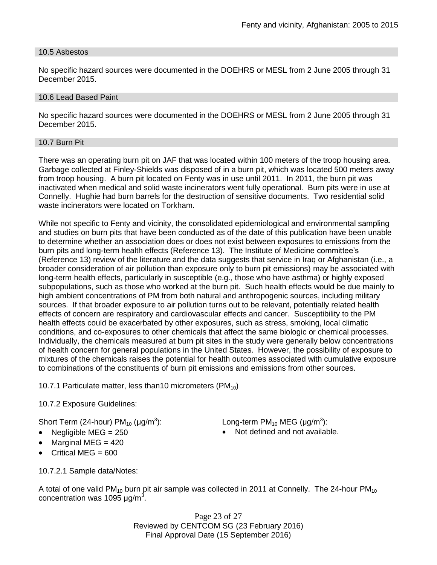#### 10.5 Asbestos

No specific hazard sources were documented in the DOEHRS or MESL from 2 June 2005 through 31 December 2015.

#### 10.6 Lead Based Paint

No specific hazard sources were documented in the DOEHRS or MESL from 2 June 2005 through 31 December 2015.

### 10.7 Burn Pit

There was an operating burn pit on JAF that was located within 100 meters of the troop housing area. Garbage collected at Finley-Shields was disposed of in a burn pit, which was located 500 meters away from troop housing. A burn pit located on Fenty was in use until 2011. In 2011, the burn pit was inactivated when medical and solid waste incinerators went fully operational. Burn pits were in use at Connelly. Hughie had burn barrels for the destruction of sensitive documents. Two residential solid waste incinerators were located on Torkham.

While not specific to Fenty and vicinity, the consolidated epidemiological and environmental sampling and studies on burn pits that have been conducted as of the date of this publication have been unable to determine whether an association does or does not exist between exposures to emissions from the burn pits and long-term health effects (Reference 13). The Institute of Medicine committee's (Reference 13) review of the literature and the data suggests that service in Iraq or Afghanistan (i.e., a broader consideration of air pollution than exposure only to burn pit emissions) may be associated with long-term health effects, particularly in susceptible (e.g., those who have asthma) or highly exposed subpopulations, such as those who worked at the burn pit. Such health effects would be due mainly to high ambient concentrations of PM from both natural and anthropogenic sources, including military sources. If that broader exposure to air pollution turns out to be relevant, potentially related health effects of concern are respiratory and cardiovascular effects and cancer. Susceptibility to the PM health effects could be exacerbated by other exposures, such as stress, smoking, local climatic conditions, and co-exposures to other chemicals that affect the same biologic or chemical processes. Individually, the chemicals measured at burn pit sites in the study were generally below concentrations of health concern for general populations in the United States. However, the possibility of exposure to mixtures of the chemicals raises the potential for health outcomes associated with cumulative exposure to combinations of the constituents of burn pit emissions and emissions from other sources.

10.7.1 Particulate matter, less than 10 micrometers ( $PM_{10}$ )

### 10.7.2 Exposure Guidelines:

Short Term (24-hour)  $PM_{10}$  ( $\mu$ g/m<sup>3</sup>):

- 
- Marginal MEG  $=$  420
- Critical MFG  $= 600$

): Long-term PM<sub>10</sub> MEG ( $\mu$ g/m<sup>3</sup>): Negligible  $MEG = 250$  Not defined and not available.

10.7.2.1 Sample data/Notes:

A total of one valid PM<sub>10</sub> burn pit air sample was collected in 2011 at Connelly. The 24-hour PM<sub>10</sub> concentration was 1095  $\mu$ g/m<sup>3</sup>.

> Page 23 of 27 Reviewed by CENTCOM SG (23 February 2016) Final Approval Date (15 September 2016)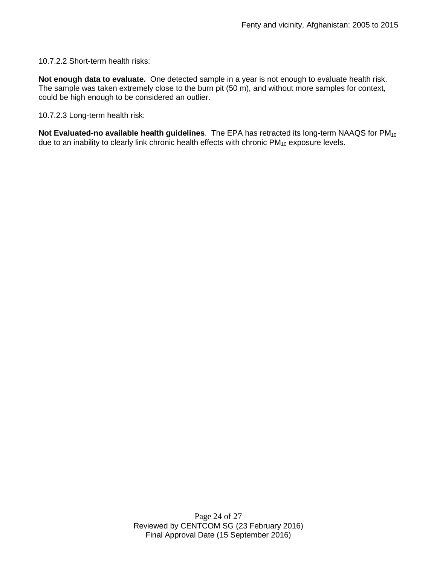10.7.2.2 Short-term health risks:

**Not enough data to evaluate.** One detected sample in a year is not enough to evaluate health risk. The sample was taken extremely close to the burn pit (50 m), and without more samples for context, could be high enough to be considered an outlier.

10.7.2.3 Long-term health risk:

**Not Evaluated-no available health guidelines**. The EPA has retracted its long-term NAAQS for PM<sub>10</sub> due to an inability to clearly link chronic health effects with chronic  $PM_{10}$  exposure levels.

> Page 24 of 27 Reviewed by CENTCOM SG (23 February 2016) Final Approval Date (15 September 2016)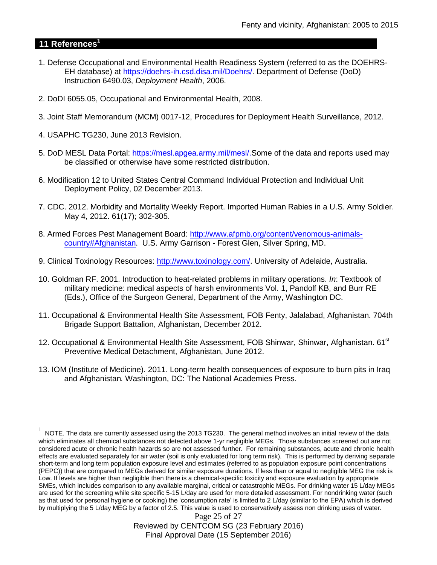### **11 References<sup>1</sup>**

 $\overline{a}$ 

- 1. Defense Occupational and Environmental Health Readiness System (referred to as the DOEHRS-EH database) at https://doehrs-ih.csd.disa.mil/Doehrs/. Department of Defense (DoD) Instruction 6490.03, *Deployment Health*, 2006.
- 2. DoDI 6055.05, Occupational and Environmental Health, 2008.
- 3. Joint Staff Memorandum (MCM) 0017-12, Procedures for Deployment Health Surveillance, 2012.
- 4. USAPHC TG230, June 2013 Revision.
- 5. DoD MESL Data Portal: https://mesl.apgea.army.mil/mesl/.Some of the data and reports used may be classified or otherwise have some restricted distribution.
- 6. Modification 12 to United States Central Command Individual Protection and Individual Unit Deployment Policy, 02 December 2013.
- 7. CDC. 2012. Morbidity and Mortality Weekly Report. Imported Human Rabies in a U.S. Army Soldier. May 4, 2012. 61(17); 302-305.
- 8. Armed Forces Pest Management Board: [http://www.afpmb.org/content/venomous-animals](http://www.afpmb.org/content/venomous-animals-country#Afghanistan)[country#Afghanistan.](http://www.afpmb.org/content/venomous-animals-country#Afghanistan) U.S. Army Garrison - Forest Glen, Silver Spring, MD.
- 9. Clinical Toxinology Resources: [http://www.toxinology.com/.](http://www.toxinology.com/) University of Adelaide, Australia.
- 10. Goldman RF. 2001. Introduction to heat-related problems in military operations. *In*: Textbook of military medicine: medical aspects of harsh environments Vol. 1, Pandolf KB, and Burr RE (Eds.), Office of the Surgeon General, Department of the Army, Washington DC.
- 11. Occupational & Environmental Health Site Assessment, FOB Fenty, Jalalabad, Afghanistan. 704th Brigade Support Battalion, Afghanistan, December 2012.
- 12. Occupational & Environmental Health Site Assessment, FOB Shinwar, Shinwar, Afghanistan, 61<sup>st</sup> Preventive Medical Detachment, Afghanistan, June 2012.
- 13. IOM (Institute of Medicine). 2011*.* Long-term health consequences of exposure to burn pits in Iraq and Afghanistan*.* Washington, DC: The National Academies Press.

Reviewed by CENTCOM SG (23 February 2016) Final Approval Date (15 September 2016)

 $^1$  NOTE. The data are currently assessed using the 2013 TG230. The general method involves an initial review of the data which eliminates all chemical substances not detected above 1-yr negligible MEGs. Those substances screened out are not considered acute or chronic health hazards so are not assessed further. For remaining substances, acute and chronic health effects are evaluated separately for air water (soil is only evaluated for long term risk). This is performed by deriving separate short-term and long term population exposure level and estimates (referred to as population exposure point concentrations (PEPC)) that are compared to MEGs derived for similar exposure durations. If less than or equal to negligible MEG the risk is Low. If levels are higher than negligible then there is a chemical-specific toxicity and exposure evaluation by appropriate SMEs, which includes comparison to any available marginal, critical or catastrophic MEGs. For drinking water 15 L/day MEGs are used for the screening while site specific 5-15 L/day are used for more detailed assessment. For nondrinking water (such as that used for personal hygiene or cooking) the 'consumption rate' is limited to 2 L/day (similar to the EPA) which is derived by multiplying the 5 L/day MEG by a factor of 2.5. This value is used to conservatively assess non drinking uses of water.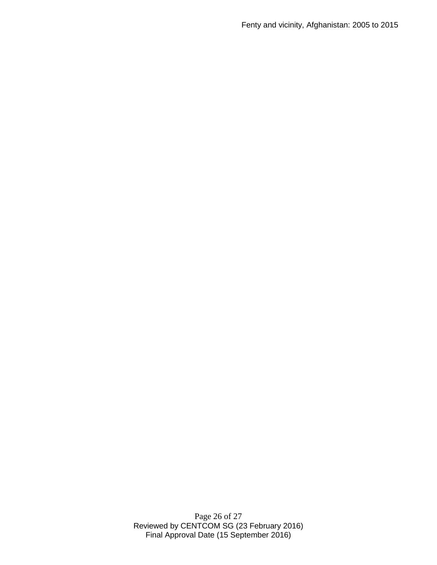Fenty and vicinity, Afghanistan: 2005 to 2015

Page 26 of 27 Reviewed by CENTCOM SG (23 February 2016) Final Approval Date (15 September 2016)